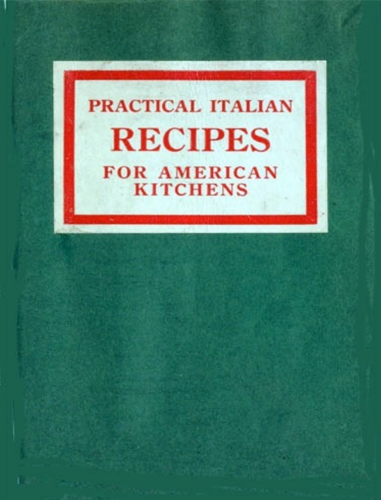# PRACTICAL ITALIAN **RECIPES FOR AMERICAN KITCHENS**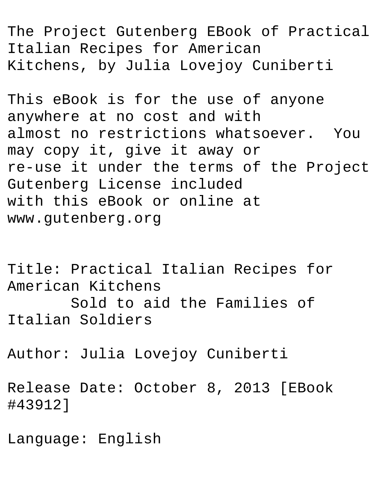The Project Gutenberg EBook of Practical Italian Recipes for American Kitchens, by Julia Lovejoy Cuniberti

This eBook is for the use of anyone anywhere at no cost and with almost no restrictions whatsoever. You may copy it, give it away or re-use it under the terms of the Project Gutenberg License included with this eBook or online at www.gutenberg.org

Title: Practical Italian Recipes for American Kitchens Sold to aid the Families of Italian Soldiers

Author: Julia Lovejoy Cuniberti

Release Date: October 8, 2013 [EBook #43912]

Language: English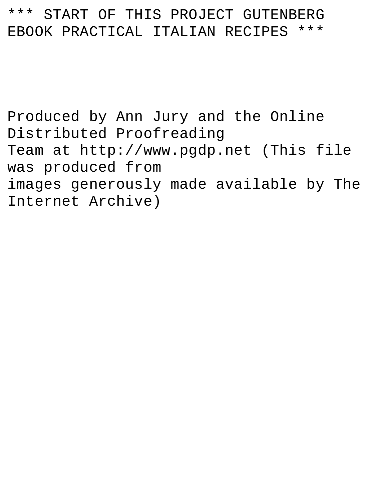#### \*\*\* START OF THIS PROJECT GUTENBERG EBOOK PRACTICAL ITALIAN RECIPES \*\*\*

Produced by Ann Jury and the Online Distributed Proofreading Team at http://www.pgdp.net (This file was produced from images generously made available by The Internet Archive)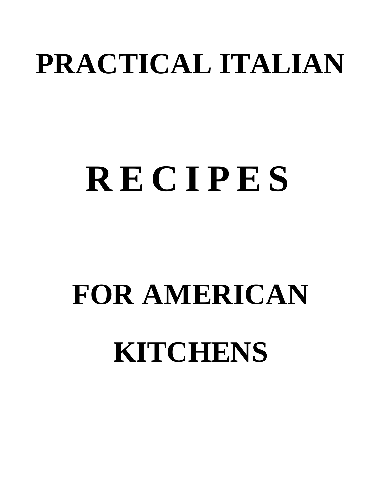# **PRACTICAL ITALIAN**

# **R E C I P E S**

# **FOR AMERICAN KITCHENS**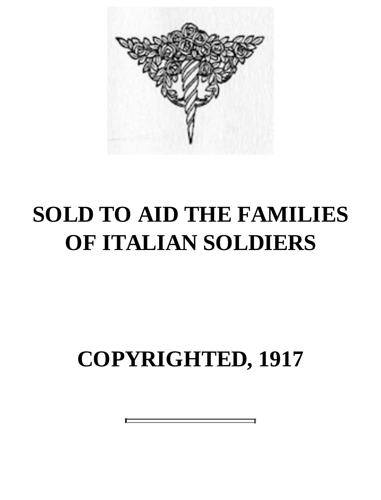

## **SOLD TO AID THE FAMILIES OF ITALIAN SOLDIERS**

## **COPYRIGHTED, 1917**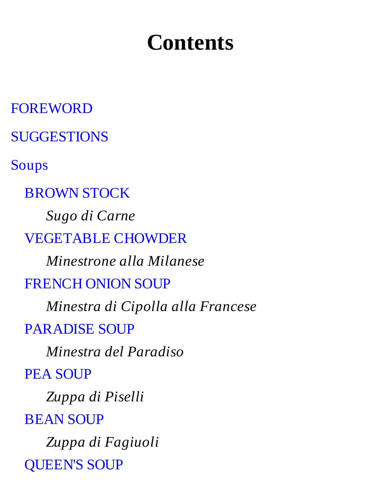## **Contents**

FOREWORD **SUGGESTIONS** Soups BROWN STOCK *Sugo di Carne* VEGETABLE CHOWDER *Minestrone alla Milanese* FRENCH ONION SOUP *Minestra di Cipolla alla Francese* PARADISE SOUP *Minestra del Paradiso* PEA SOUP *Zuppa di Piselli* BEAN SOUP *Zuppa di Fagiuoli* QUEEN'S SOUP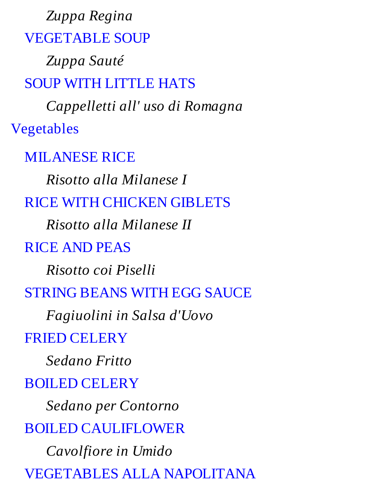*Zuppa Regina* VEGETABLE SOUP *Zuppa Sauté* SOUP WITH LITTLE HATS *Cappelletti all' uso di Romagna* Vegetables MILANESE RICE *Risotto alla Milanese I* RICE WITH CHICKEN GIBLETS *Risotto alla Milanese II* RICE AND PEAS *Risotto coi Piselli* STRING BEANS WITH EGG SAUCE *Fagiuolini in Salsa d'Uovo* FRIED CELERY *Sedano Fritto* BOILED CELERY *Sedano per Contorno* BOILED CAULIFLOWER *Cavolfiore in Umido* VEGETABLES ALLA NAPOLITANA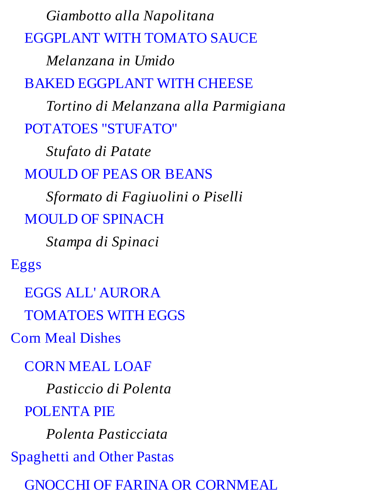EGGPLANT WITH TOMATO SAUCE *Melanzana in Umido* BAKED EGGPLANT WITH CHEESE *Tortino di Melanzana alla Parmigiana* POTATOES "STUFATO" *Stufato di Patate* MOULD OF PEAS OR BEANS *Sformato di Fagiuolini o Piselli* MOULD OF SPINACH *Stampa di Spinaci* Eggs EGGS ALL' AURORA TOMATOES WITH EGGS Corn Meal Dishes CORN MEAL LOAF *Pasticcio di Polenta* POLENTA PIE *Polenta Pasticciata* Spaghetti and Other Pastas GNOCCHI OF FARINA OR CORNMEAL

*Giambotto alla Napolitana*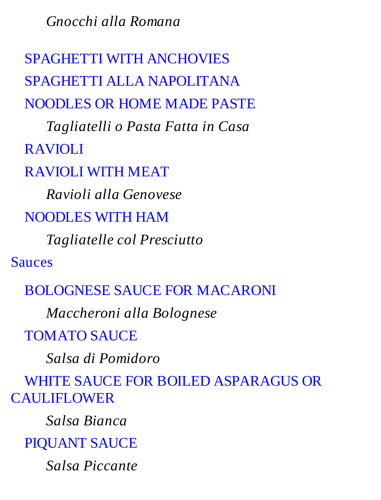*Gnocchi alla Romana*

SPAGHETTI WITH ANCHOVIES SPAGHETTI ALLA NAPOLITANA NOODLES OR HOME MADE PASTE

*Tagliatelli o Pasta Fatta in Casa*

RAVIOLI

RAVIOLI WITH MEAT

*Ravioli alla Genovese*

#### NOODLES WITH HAM

*Tagliatelle col Presciutto*

Sauces

#### BOLOGNESE SAUCE FOR MACARONI

*Maccheroni alla Bolognese*

TOMATO SAUCE

*Salsa di Pomidoro*

WHITE SAUCE FOR BOILED ASPARAGUS OR

CAULIFLOWER

*Salsa Bianca*

PIQUANT SAUCE

*Salsa Piccante*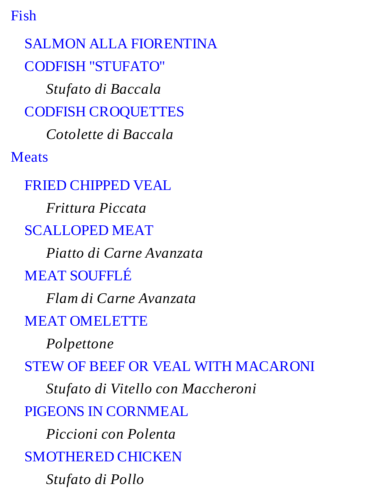Fish

SALMON ALLA FIORENTINA CODFISH "STUFATO" *Stufato di Baccala* CODFISH CROQUETTES *Cotolette di Baccala* Meats FRIED CHIPPED VEAL *Frittura Piccata* SCALLOPED MEAT *Piatto di Carne Avanzata* MEAT SOUFFLÉ *Flam di Carne Avanzata* MEAT OMELETTE *Polpettone* STEW OF BEEF OR VEAL WITH MACARONI *Stufato di Vitello con Maccheroni* PIGEONS IN CORNMEAL *Piccioni con Polenta* SMOTHERED CHICKEN *Stufato di Pollo*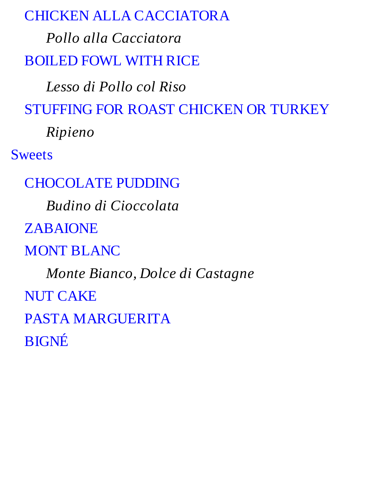#### CHICKEN ALLA CACCIATORA

*Pollo alla Cacciatora* BOILED FOWL WITH RICE

*Lesso di Pollo col Riso* STUFFING FOR ROAST CHICKEN OR TURKEY

*Ripieno*

Sweets

CHOCOLATE PUDDING

*Budino di Cioccolata*

ZABAIONE

MONT BLANC

*Monte Bianco, Dolce di Castagne* NUT CAKE PASTA MARGUERITA

BIGNÉ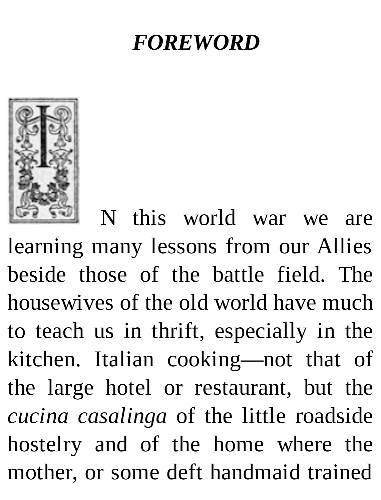#### *FOREWORD*



N this world war we are learning many lessons from our Allies beside those of the battle field. The housewives of the old world have much to teach us in thrift, especially in the kitchen. Italian cooking—not that of the large hotel or restaurant, but the *cucina casalinga* of the little roadside hostelry and of the home where the mother, or some deft handmaid trained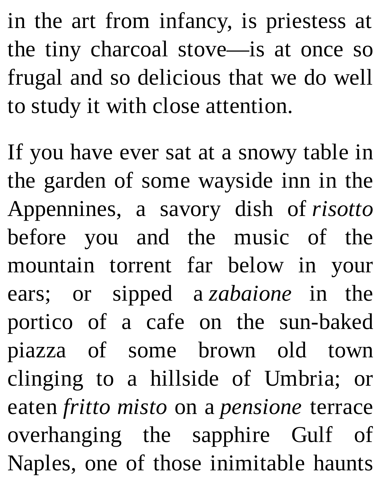in the art from infancy, is priestess at the tiny charcoal stove—is at once so frugal and so delicious that we do well to study it with close attention.

If you have ever sat at a snowy table in the garden of some wayside inn in the Appennines, a savory dish of *risotto* before you and the music of the mountain torrent far below in your ears; or sipped a *zabaione* in the portico of a cafe on the sun-baked piazza of some brown old town clinging to a hillside of Umbria; or eaten *fritto misto* on a *pensione* terrace overhanging the sapphire Gulf of Naples, one of those inimitable haunts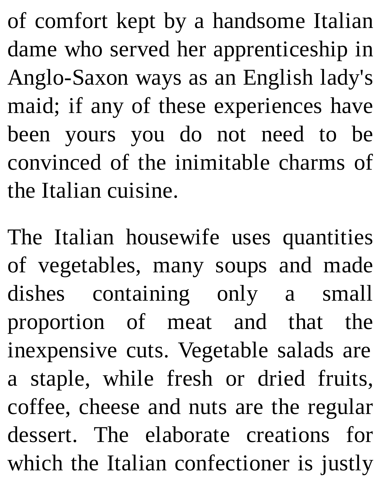of comfort kept by a handsome Italian dame who served her apprenticeship in Anglo-Saxon ways as an English lady's maid; if any of these experiences have been yours you do not need to be convinced of the inimitable charms of the Italian cuisine.

The Italian housewife uses quantities of vegetables, many soups and made dishes containing only a small proportion of meat and that the inexpensive cuts. Vegetable salads are a staple, while fresh or dried fruits, coffee, cheese and nuts are the regular dessert. The elaborate creations for which the Italian confectioner is justly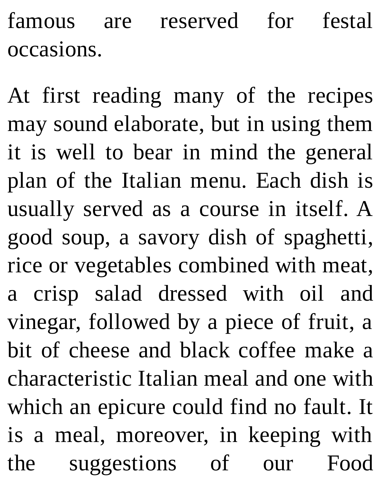famous are reserved for festal occasions.

At first reading many of the recipes may sound elaborate, but in using them it is well to bear in mind the general plan of the Italian menu. Each dish is usually served as a course in itself. A good soup, a savory dish of spaghetti, rice or vegetables combined with meat, a crisp salad dressed with oil and vinegar, followed by a piece of fruit, a bit of cheese and black coffee make a characteristic Italian meal and one with which an epicure could find no fault. It is a meal, moreover, in keeping with the suggestions of our Food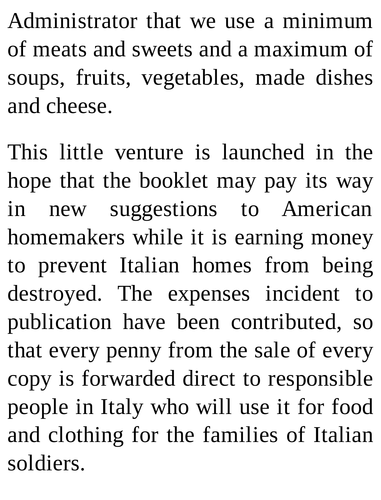Administrator that we use a minimum of meats and sweets and a maximum of soups, fruits, vegetables, made dishes and cheese.

This little venture is launched in the hope that the booklet may pay its way in new suggestions to American homemakers while it is earning money to prevent Italian homes from being destroyed. The expenses incident to publication have been contributed, so that every penny from the sale of every copy is forwarded direct to responsible people in Italy who will use it for food and clothing for the families of Italian soldiers.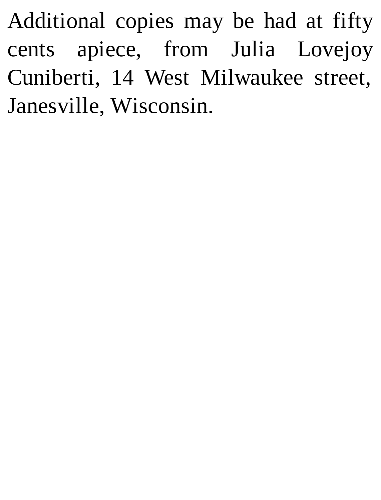Additional copies may be had at fifty cents apiece, from Julia Lovejoy Cuniberti, 14 West Milwaukee street, Janesville, Wisconsin.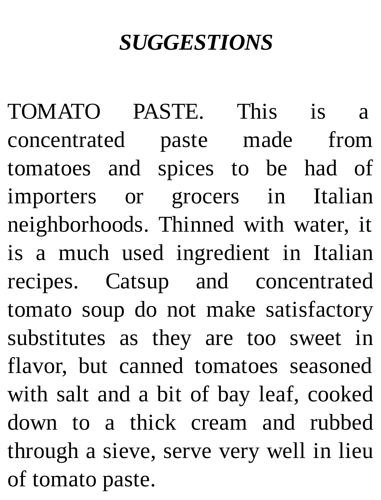#### *SUGGESTIONS*

TOMATO PASTE. This is a concentrated paste made from tomatoes and spices to be had of importers or grocers in Italian neighborhoods. Thinned with water, it is a much used ingredient in Italian recipes. Catsup and concentrated tomato soup do not make satisfactory substitutes as they are too sweet in flavor, but canned tomatoes seasoned with salt and a bit of bay leaf, cooked down to a thick cream and rubbed through a sieve, serve very well in lieu of tomato paste.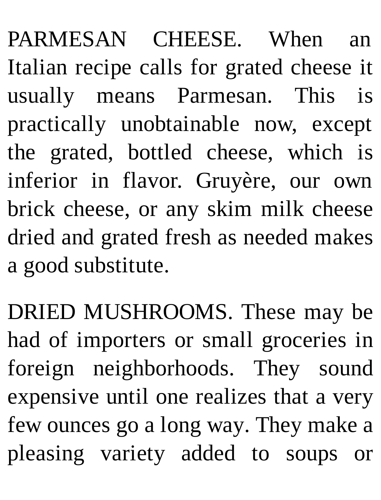PARMESAN CHEESE. When an Italian recipe calls for grated cheese it usually means Parmesan. This is practically unobtainable now, except the grated, bottled cheese, which is inferior in flavor. Gruyère, our own brick cheese, or any skim milk cheese dried and grated fresh as needed makes a good substitute.

DRIED MUSHROOMS. These may be had of importers or small groceries in foreign neighborhoods. They sound expensive until one realizes that a very few ounces go a long way. They make a pleasing variety added to soups or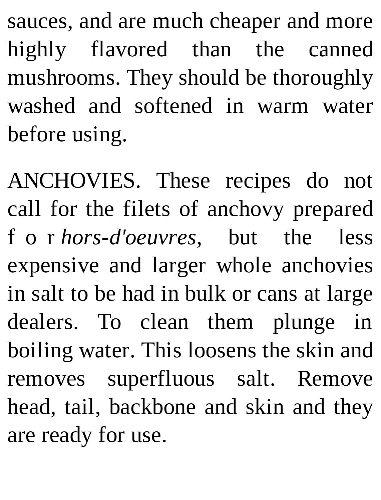sauces, and are much cheaper and more highly flavored than the canned mushrooms. They should be thoroughly washed and softened in warm water before using.

ANCHOVIES. These recipes do not call for the filets of anchovy prepared f o r *hors-d'oeuvres*, but the less expensive and larger whole anchovies in salt to be had in bulk or cans at large dealers. To clean them plunge in boiling water. This loosens the skin and removes superfluous salt. Remove head, tail, backbone and skin and they are ready for use.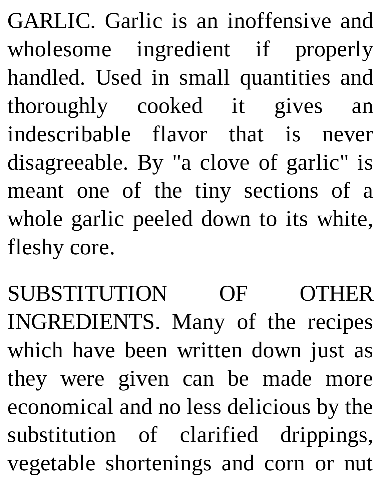GARLIC. Garlic is an inoffensive and wholesome ingredient if properly handled. Used in small quantities and thoroughly cooked it gives an indescribable flavor that is never disagreeable. By "a clove of garlic" is meant one of the tiny sections of a whole garlic peeled down to its white, fleshy core.

SUBSTITUTION OF OTHER INGREDIENTS. Many of the recipes which have been written down just as they were given can be made more economical and no less delicious by the substitution of clarified drippings, vegetable shortenings and corn or nut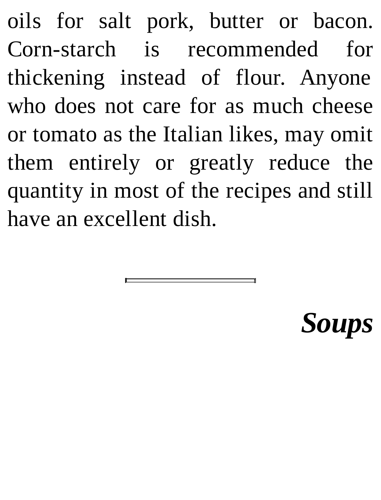oils for salt pork, butter or bacon. Corn-starch is recommended for thickening instead of flour. Anyone who does not care for as much cheese or tomato as the Italian likes, may omit them entirely or greatly reduce the quantity in most of the recipes and still have an excellent dish.

# *Soups*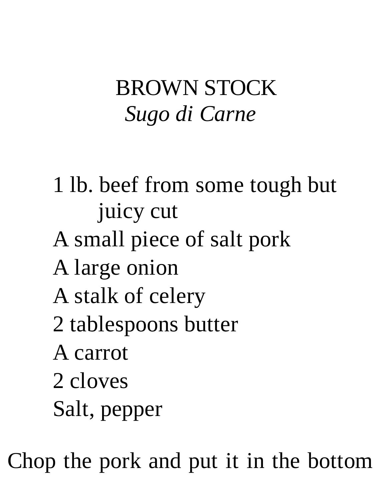## BROWN STOCK *Sugo di Carne*

- 1 lb. beef from some tough but juicy cut
- A small piece of salt pork
- A large onion
- A stalk of celery
- 2 tablespoons butter
- A carrot
- 2 cloves
- Salt, pepper

Chop the pork and put it in the bottom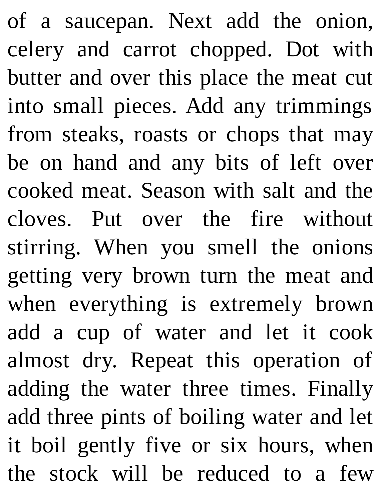of a saucepan. Next add the onion, celery and carrot chopped. Dot with butter and over this place the meat cut into small pieces. Add any trimmings from steaks, roasts or chops that may be on hand and any bits of left over cooked meat. Season with salt and the cloves. Put over the fire without stirring. When you smell the onions getting very brown turn the meat and when everything is extremely brown add a cup of water and let it cook almost dry. Repeat this operation of adding the water three times. Finally add three pints of boiling water and let it boil gently five or six hours, when the stock will be reduced to a few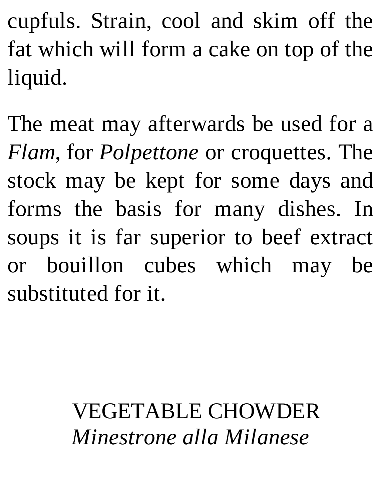cupfuls. Strain, cool and skim off the fat which will form a cake on top of the liquid.

The meat may afterwards be used for a *Flam*, for *Polpettone* or croquettes. The stock may be kept for some days and forms the basis for many dishes. In soups it is far superior to beef extract or bouillon cubes which may be substituted for it.

## VEGETABLE CHOWDER *Minestrone alla Milanese*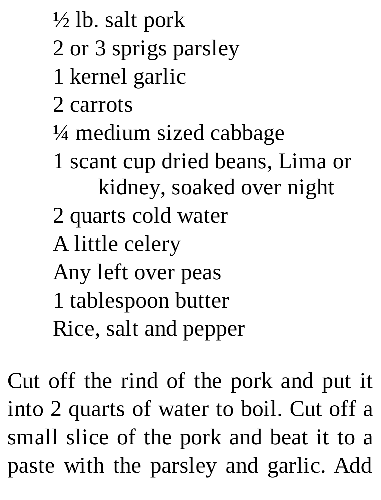- $\frac{1}{2}$  lb. salt pork
- 2 or 3 sprigs parsley
- 1 kernel garlic
- 2 carrots
- ¼ medium sized cabbage
- 1 scant cup dried beans, Lima or kidney, soaked over night
- 2 quarts cold water
- A little celery
- Any left over peas
- 1 tablespoon butter
- Rice, salt and pepper

Cut off the rind of the pork and put it into 2 quarts of water to boil. Cut off a small slice of the pork and beat it to a paste with the parsley and garlic. Add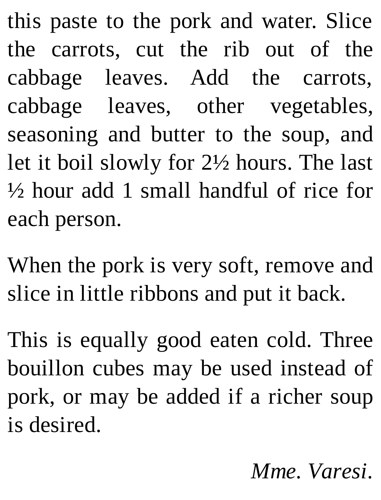this paste to the pork and water. Slice the carrots, cut the rib out of the cabbage leaves. Add the carrots, cabbage leaves, other vegetables, seasoning and butter to the soup, and let it boil slowly for 2½ hours. The last ½ hour add 1 small handful of rice for each person.

When the pork is very soft, remove and slice in little ribbons and put it back.

This is equally good eaten cold. Three bouillon cubes may be used instead of pork, or may be added if a richer soup is desired.

*Mme. Varesi.*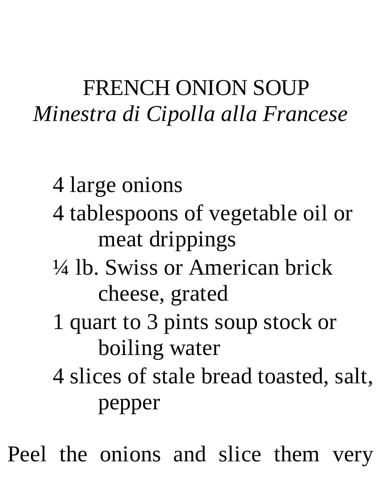#### FRENCH ONION SOUP *Minestra di Cipolla alla Francese*

- 4 large onions
- 4 tablespoons of vegetable oil or meat drippings
- ¼ lb. Swiss or American brick cheese, grated
- 1 quart to 3 pints soup stock or boiling water
- 4 slices of stale bread toasted, salt, pepper

Peel the onions and slice them very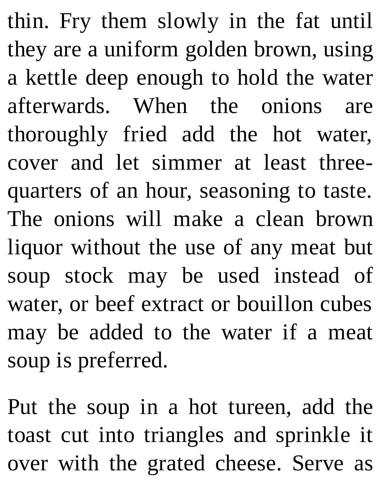thin. Fry them slowly in the fat until they are a uniform golden brown, using a kettle deep enough to hold the water afterwards. When the onions are thoroughly fried add the hot water, cover and let simmer at least threequarters of an hour, seasoning to taste. The onions will make a clean brown liquor without the use of any meat but soup stock may be used instead of water, or beef extract or bouillon cubes may be added to the water if a meat soup is preferred.

Put the soup in a hot tureen, add the toast cut into triangles and sprinkle it over with the grated cheese. Serve as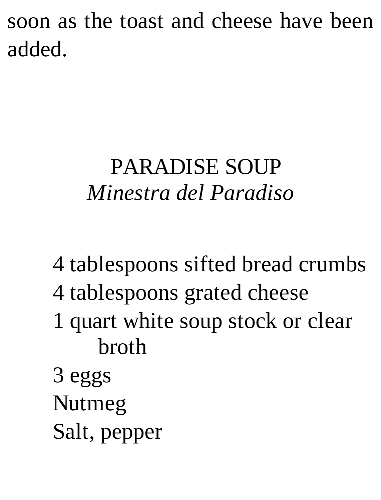soon as the toast and cheese have been added.

## PARADISE SOUP *Minestra del Paradiso*

- 4 tablespoons sifted bread crumbs
- 4 tablespoons grated cheese
- 1 quart white soup stock or clear broth
- 3 eggs Nutmeg Salt, pepper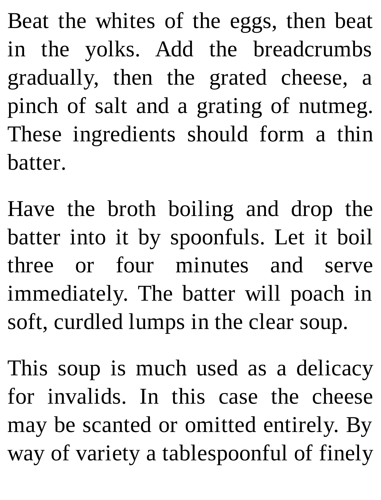Beat the whites of the eggs, then beat in the yolks. Add the breadcrumbs gradually, then the grated cheese, a pinch of salt and a grating of nutmeg. These ingredients should form a thin batter.

Have the broth boiling and drop the batter into it by spoonfuls. Let it boil three or four minutes and serve immediately. The batter will poach in soft, curdled lumps in the clear soup.

This soup is much used as a delicacy for invalids. In this case the cheese may be scanted or omitted entirely. By way of variety a tablespoonful of finely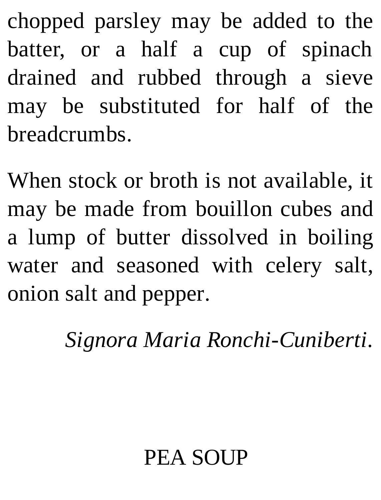chopped parsley may be added to the batter, or a half a cup of spinach drained and rubbed through a sieve may be substituted for half of the breadcrumbs.

When stock or broth is not available, it may be made from bouillon cubes and a lump of butter dissolved in boiling water and seasoned with celery salt, onion salt and pepper.

*Signora Maria Ronchi-Cuniberti.*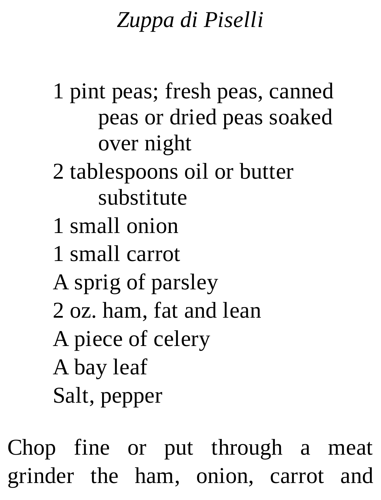## *Zuppa di Piselli*

1 pint peas; fresh peas, canned peas or dried peas soaked over night

## 2 tablespoons oil or butter substitute

- 1 small onion
- 1 small carrot
- A sprig of parsley
- 2 oz. ham, fat and lean
- A piece of celery
- A bay leaf
- Salt, pepper

Chop fine or put through a meat grinder the ham, onion, carrot and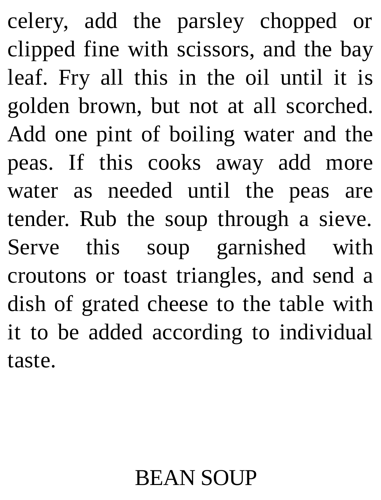celery, add the parsley chopped or clipped fine with scissors, and the bay leaf. Fry all this in the oil until it is golden brown, but not at all scorched. Add one pint of boiling water and the peas. If this cooks away add more water as needed until the peas are tender. Rub the soup through a sieve. Serve this soup garnished with croutons or toast triangles, and send a dish of grated cheese to the table with it to be added according to individual taste.

#### **BEAN SOUP**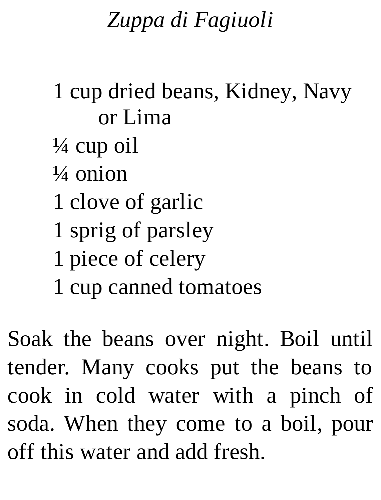## *Zuppa di Fagiuoli*

#### 1 cup dried beans, Kidney, Navy or Lima

- ¼ cup oil
- $\frac{1}{4}$  onion
- 1 clove of garlic
- 1 sprig of parsley
- 1 piece of celery
- 1 cup canned tomatoes

Soak the beans over night. Boil until tender. Many cooks put the beans to cook in cold water with a pinch of soda. When they come to a boil, pour off this water and add fresh.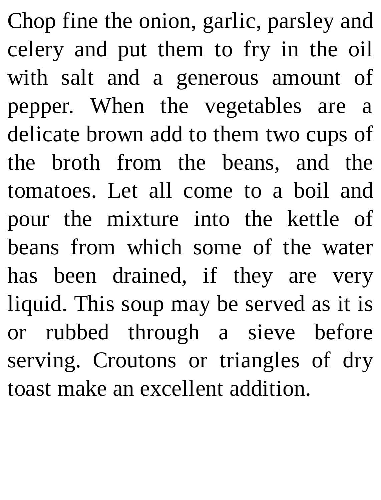Chop fine the onion, garlic, parsley and celery and put them to fry in the oil with salt and a generous amount of pepper. When the vegetables are a delicate brown add to them two cups of the broth from the beans, and the tomatoes. Let all come to a boil and pour the mixture into the kettle of beans from which some of the water has been drained, if they are very liquid. This soup may be served as it is or rubbed through a sieve before serving. Croutons or triangles of dry toast make an excellent addition.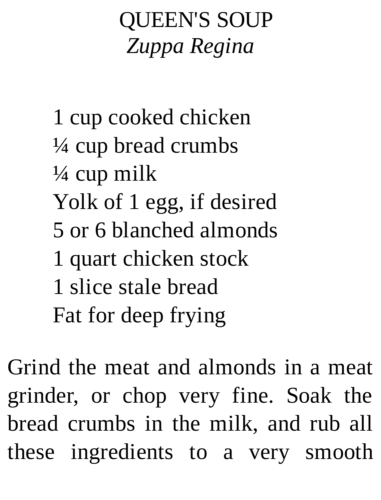# QUEEN'S SOUP *Zuppa Regina*

1 cup cooked chicken ¼ cup bread crumbs ¼ cup milk Yolk of 1 egg, if desired 5 or 6 blanched almonds 1 quart chicken stock 1 slice stale bread Fat for deep frying

Grind the meat and almonds in a meat grinder, or chop very fine. Soak the bread crumbs in the milk, and rub all these ingredients to a very smooth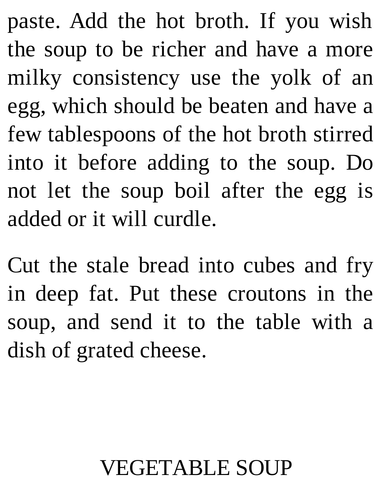paste. Add the hot broth. If you wish the soup to be richer and have a more milky consistency use the yolk of an egg, which should be beaten and have a few tablespoons of the hot broth stirred into it before adding to the soup. Do not let the soup boil after the egg is added or it will curdle.

Cut the stale bread into cubes and fry in deep fat. Put these croutons in the soup, and send it to the table with a dish of grated cheese.

### VEGETABLE SOUP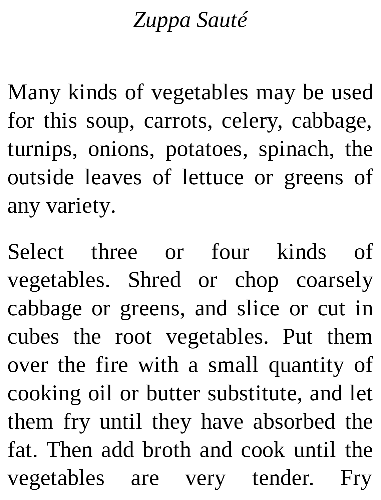#### *Zuppa Sauté*

Many kinds of vegetables may be used for this soup, carrots, celery, cabbage, turnips, onions, potatoes, spinach, the outside leaves of lettuce or greens of any variety.

Select three or four kinds of vegetables. Shred or chop coarsely cabbage or greens, and slice or cut in cubes the root vegetables. Put them over the fire with a small quantity of cooking oil or butter substitute, and let them fry until they have absorbed the fat. Then add broth and cook until the vegetables are very tender. Fry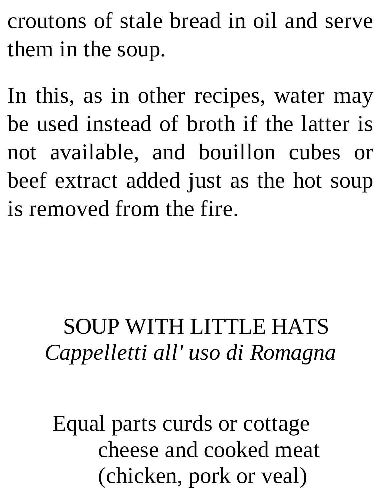croutons of stale bread in oil and serve them in the soup.

In this, as in other recipes, water may be used instead of broth if the latter is not available, and bouillon cubes or beef extract added just as the hot soup is removed from the fire.

# SOUP WITH LITTLE HATS *Cappelletti all' uso di Romagna*

Equal parts curds or cottage cheese and cooked meat (chicken, pork or veal)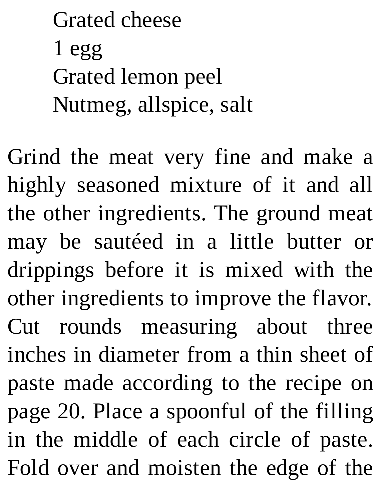Grated cheese 1 egg Grated lemon peel Nutmeg, allspice, salt

Grind the meat very fine and make a highly seasoned mixture of it and all the other ingredients. The ground meat may be sautéed in a little butter or drippings before it is mixed with the other ingredients to improve the flavor. Cut rounds measuring about three inches in diameter from a thin sheet of paste made according to the recipe on page 20. Place a spoonful of the filling in the middle of each circle of paste. Fold over and moisten the edge of the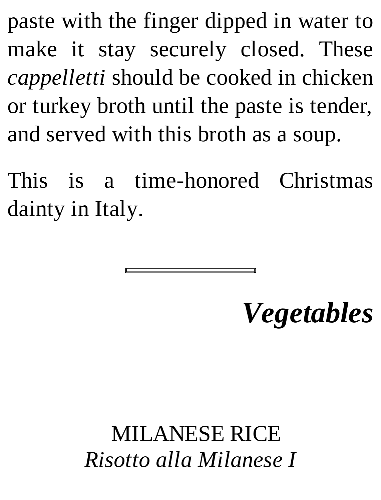paste with the finger dipped in water to make it stay securely closed. These *cappelletti* should be cooked in chicken or turkey broth until the paste is tender, and served with this broth as a soup.

This is a time-honored Christmas dainty in Italy.

# *Vegetables*

### MILANESE RICE *Risotto alla Milanese I*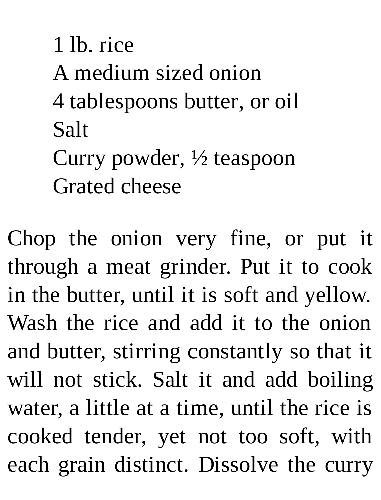1 lb. rice A medium sized onion 4 tablespoons butter, or oil Salt Curry powder, ½ teaspoon Grated cheese

Chop the onion very fine, or put it through a meat grinder. Put it to cook in the butter, until it is soft and yellow. Wash the rice and add it to the onion and butter, stirring constantly so that it will not stick. Salt it and add boiling water, a little at a time, until the rice is cooked tender, yet not too soft, with each grain distinct. Dissolve the curry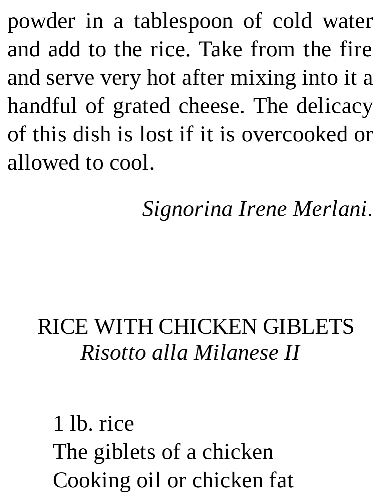powder in a tablespoon of cold water and add to the rice. Take from the fire and serve very hot after mixing into it a handful of grated cheese. The delicacy of this dish is lost if it is overcooked or allowed to cool.

*Signorina Irene Merlani.*

#### RICE WITH CHICKEN GIBLETS *Risotto alla Milanese II*

1 lb. rice The giblets of a chicken Cooking oil or chicken fat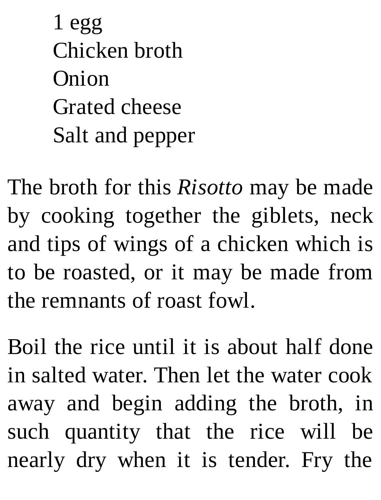1 egg Chicken broth Onion Grated cheese Salt and pepper

The broth for this *Risotto* may be made by cooking together the giblets, neck and tips of wings of a chicken which is to be roasted, or it may be made from the remnants of roast fowl.

Boil the rice until it is about half done in salted water. Then let the water cook away and begin adding the broth, in such quantity that the rice will be nearly dry when it is tender. Fry the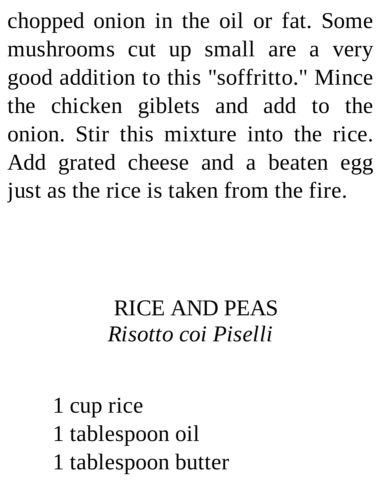chopped onion in the oil or fat. Some mushrooms cut up small are a very good addition to this "soffritto." Mince the chicken giblets and add to the onion. Stir this mixture into the rice. Add grated cheese and a beaten egg just as the rice is taken from the fire.

### RICE AND PEAS *Risotto coi Piselli*

1 cup rice 1 tablespoon oil 1 tablespoon butter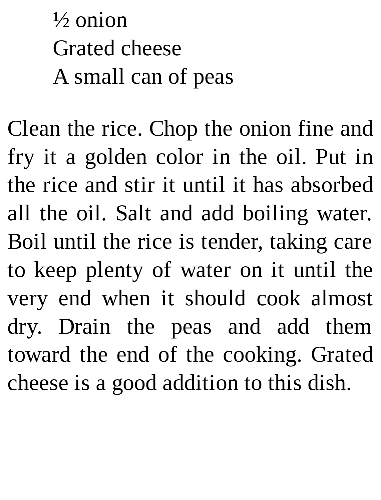$\frac{1}{2}$  onion Grated cheese A small can of peas

Clean the rice. Chop the onion fine and fry it a golden color in the oil. Put in the rice and stir it until it has absorbed all the oil. Salt and add boiling water. Boil until the rice is tender, taking care to keep plenty of water on it until the very end when it should cook almost dry. Drain the peas and add them toward the end of the cooking. Grated cheese is a good addition to this dish.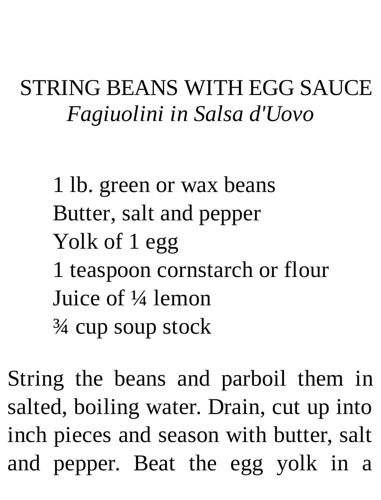#### STRING BEANS WITH EGG SAUCE *Fagiuolini in Salsa d'Uovo*

1 lb. green or wax beans Butter, salt and pepper Yolk of 1 egg 1 teaspoon cornstarch or flour Juice of ¼ lemon ¾ cup soup stock

String the beans and parboil them in salted, boiling water. Drain, cut up into inch pieces and season with butter, salt and pepper. Beat the egg yolk in a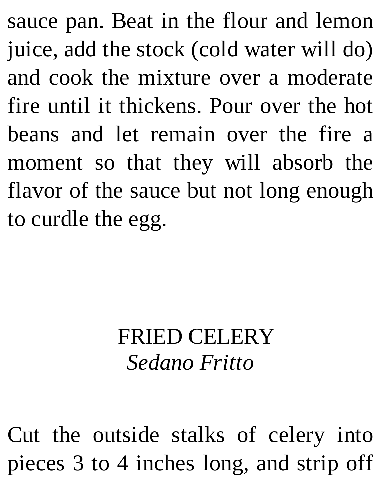sauce pan. Beat in the flour and lemon juice, add the stock (cold water will do) and cook the mixture over a moderate fire until it thickens. Pour over the hot beans and let remain over the fire a moment so that they will absorb the flavor of the sauce but not long enough to curdle the egg.

#### FRIED CELERY *Sedano Fritto*

Cut the outside stalks of celery into pieces 3 to 4 inches long, and strip off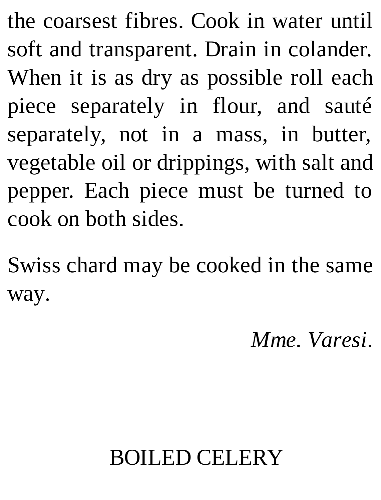the coarsest fibres. Cook in water until soft and transparent. Drain in colander. When it is as dry as possible roll each piece separately in flour, and sauté separately, not in a mass, in butter, vegetable oil or drippings, with salt and pepper. Each piece must be turned to cook on both sides.

Swiss chard may be cooked in the same way.

*Mme. Varesi.*

# BOILED CELERY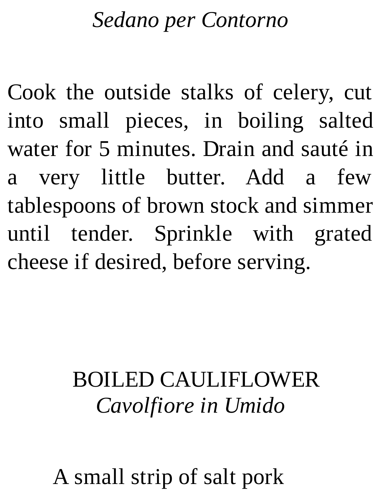#### *Sedano per Contorno*

Cook the outside stalks of celery, cut into small pieces, in boiling salted water for 5 minutes. Drain and sauté in a very little butter. Add a few tablespoons of brown stock and simmer until tender. Sprinkle with grated cheese if desired, before serving.

# BOILED CAULIFLOWER *Cavolfiore in Umido*

A small strip of salt pork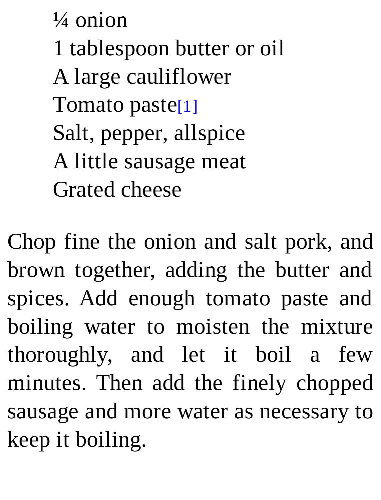¼ onion 1 tablespoon butter or oil A large cauliflower Tomato paste[1] Salt, pepper, allspice A little sausage meat Grated cheese

Chop fine the onion and salt pork, and brown together, adding the butter and spices. Add enough tomato paste and boiling water to moisten the mixture thoroughly, and let it boil a few minutes. Then add the finely chopped sausage and more water as necessary to keep it boiling.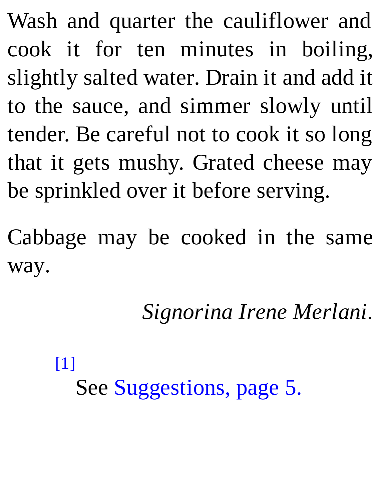Wash and quarter the cauliflower and cook it for ten minutes in boiling, slightly salted water. Drain it and add it to the sauce, and simmer slowly until tender. Be careful not to cook it so long that it gets mushy. Grated cheese may be sprinkled over it before serving.

Cabbage may be cooked in the same way.

*Signorina Irene Merlani.*

#### [1]

See Suggestions, page 5.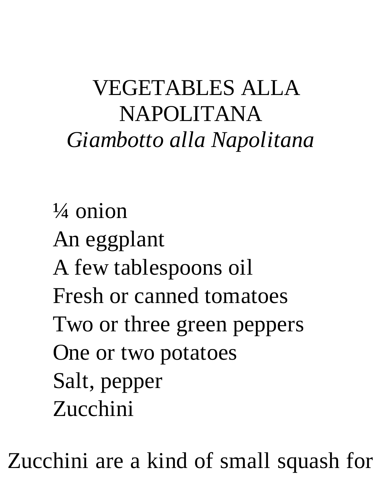# VEGETABLES ALLA NAPOLITANA *Giambotto alla Napolitana*

 $\frac{1}{4}$  onion An eggplant A few tablespoons oil Fresh or canned tomatoes Two or three green peppers One or two potatoes Salt, pepper Zucchini

Zucchini are a kind of small squash for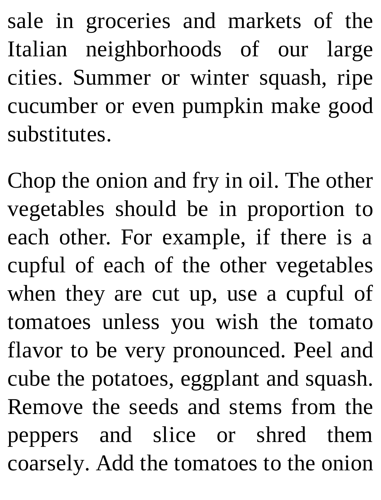sale in groceries and markets of the Italian neighborhoods of our large cities. Summer or winter squash, ripe cucumber or even pumpkin make good substitutes.

Chop the onion and fry in oil. The other vegetables should be in proportion to each other. For example, if there is a cupful of each of the other vegetables when they are cut up, use a cupful of tomatoes unless you wish the tomato flavor to be very pronounced. Peel and cube the potatoes, eggplant and squash. Remove the seeds and stems from the peppers and slice or shred them coarsely. Add the tomatoes to the onion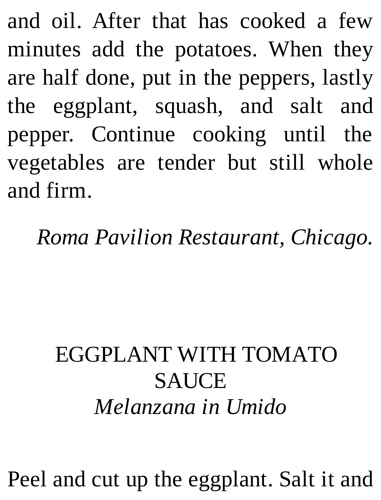and oil. After that has cooked a few minutes add the potatoes. When they are half done, put in the peppers, lastly the eggplant, squash, and salt and pepper. Continue cooking until the vegetables are tender but still whole and firm.

*Roma Pavilion Restaurant, Chicago.*

# EGGPLANT WITH TOMATO SAUCE *Melanzana in Umido*

Peel and cut up the eggplant. Salt it and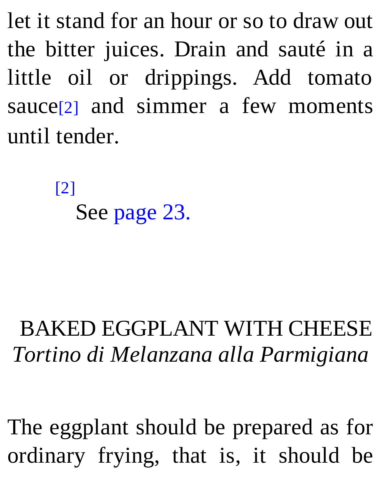let it stand for an hour or so to draw out the bitter juices. Drain and sauté in a little oil or drippings. Add tomato sauce<sup>[2]</sup> and simmer a few moments until tender.

> [2] See page 23.

# BAKED EGGPLANT WITH CHEESE *Tortino di Melanzana alla Parmigiana*

The eggplant should be prepared as for ordinary frying, that is, it should be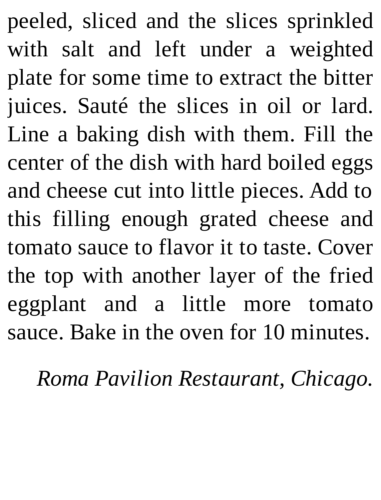peeled, sliced and the slices sprinkled with salt and left under a weighted plate for some time to extract the bitter juices. Sauté the slices in oil or lard. Line a baking dish with them. Fill the center of the dish with hard boiled eggs and cheese cut into little pieces. Add to this filling enough grated cheese and tomato sauce to flavor it to taste. Cover the top with another layer of the fried eggplant and a little more tomato sauce. Bake in the oven for 10 minutes.

*Roma Pavilion Restaurant, Chicago.*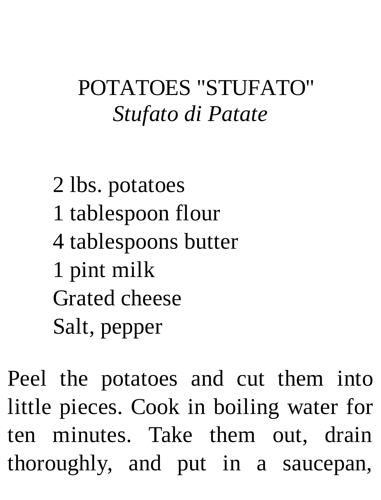### POTATOES "STUFATO" *Stufato di Patate*

 lbs. potatoes tablespoon flour tablespoons butter pint milk Grated cheese Salt, pepper

Peel the potatoes and cut them into little pieces. Cook in boiling water for ten minutes. Take them out, drain thoroughly, and put in a saucepan,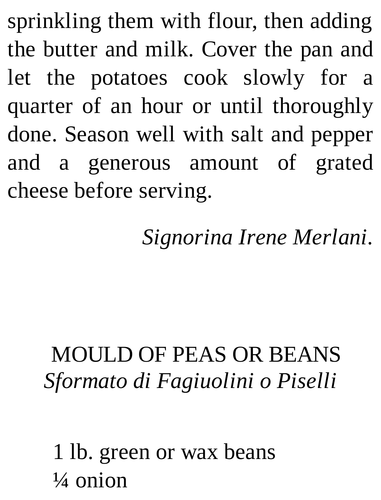sprinkling them with flour, then adding the butter and milk. Cover the pan and let the potatoes cook slowly for a quarter of an hour or until thoroughly done. Season well with salt and pepper and a generous amount of grated cheese before serving.

*Signorina Irene Merlani.*

# MOULD OF PEAS OR BEANS *Sformato di Fagiuolini o Piselli*

1 lb. green or wax beans  $\frac{1}{4}$  onion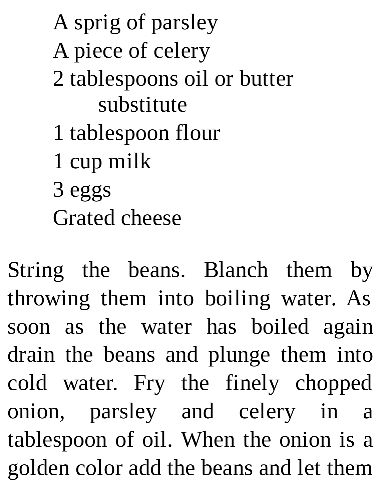A sprig of parsley A piece of celery 2 tablespoons oil or butter substitute 1 tablespoon flour 1 cup milk 3 eggs Grated cheese

String the beans. Blanch them by throwing them into boiling water. As soon as the water has boiled again drain the beans and plunge them into cold water. Fry the finely chopped onion, parsley and celery in a tablespoon of oil. When the onion is a golden color add the beans and let them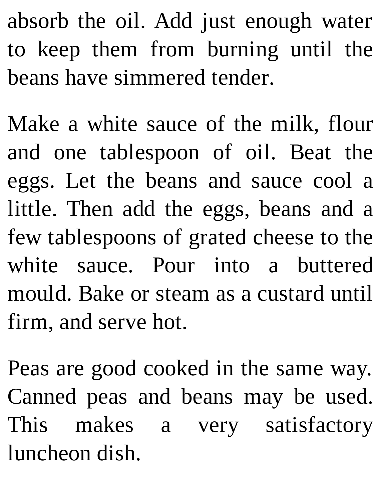absorb the oil. Add just enough water to keep them from burning until the beans have simmered tender.

Make a white sauce of the milk, flour and one tablespoon of oil. Beat the eggs. Let the beans and sauce cool a little. Then add the eggs, beans and a few tablespoons of grated cheese to the white sauce. Pour into a buttered mould. Bake or steam as a custard until firm, and serve hot.

Peas are good cooked in the same way. Canned peas and beans may be used. This makes a very satisfactory luncheon dish.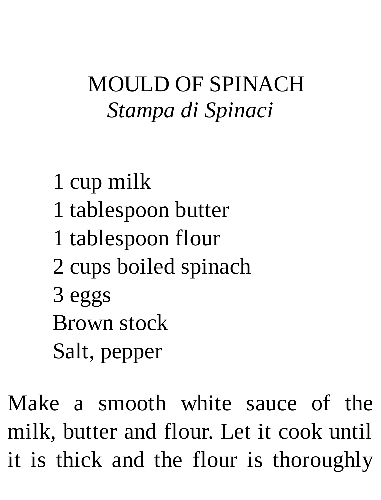## MOULD OF SPINACH *Stampa di Spinaci*

1 cup milk 1 tablespoon butter 1 tablespoon flour 2 cups boiled spinach 3 eggs Brown stock Salt, pepper

Make a smooth white sauce of the milk, butter and flour. Let it cook until it is thick and the flour is thoroughly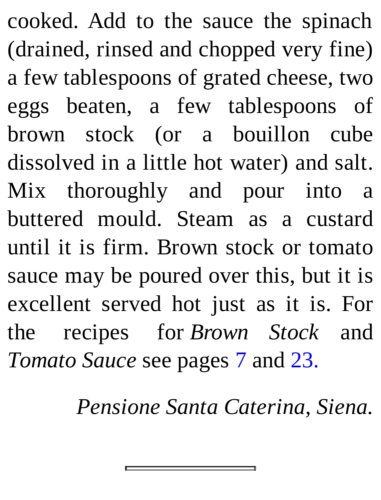cooked. Add to the sauce the spinach (drained, rinsed and chopped very fine) a few tablespoons of grated cheese, two eggs beaten, a few tablespoons of brown stock (or a bouillon cube dissolved in a little hot water) and salt. Mix thoroughly and pour into a buttered mould. Steam as a custard until it is firm. Brown stock or tomato sauce may be poured over this, but it is excellent served hot just as it is. For the recipes for *Brown Stock* and *Tomato Sauce* see pages 7 and 23.

*Pensione Santa Caterina, Siena.*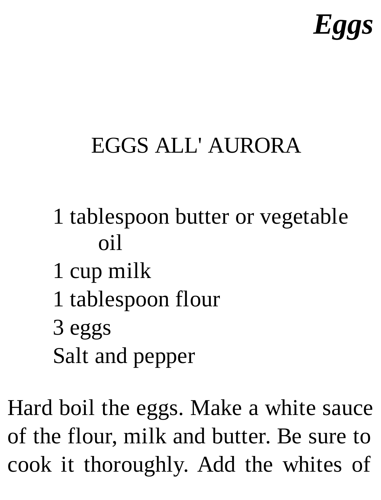# *Eggs*

# EGGS ALL' AURORA

- 1 tablespoon butter or vegetable oil
- 1 cup milk
- 1 tablespoon flour
- 3 eggs Salt and pepper

Hard boil the eggs. Make a white sauce of the flour, milk and butter. Be sure to cook it thoroughly. Add the whites of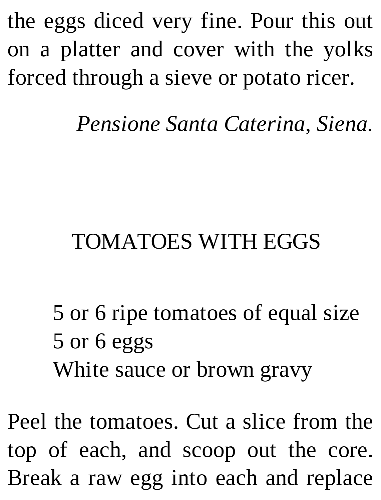the eggs diced very fine. Pour this out on a platter and cover with the yolks forced through a sieve or potato ricer.

*Pensione Santa Caterina, Siena.*

### TOMATOES WITH EGGS

5 or 6 ripe tomatoes of equal size 5 or 6 eggs White sauce or brown gravy

Peel the tomatoes. Cut a slice from the top of each, and scoop out the core. Break a raw egg into each and replace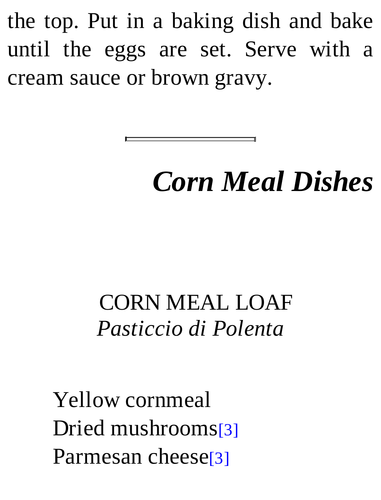the top. Put in a baking dish and bake until the eggs are set. Serve with a cream sauce or brown gravy.

# *Corn Meal Dishes*

CORN MEAL LOAF *Pasticcio di Polenta*

Yellow cornmeal Dried mushrooms[3] Parmesan cheese<sup>[3]</sup>

E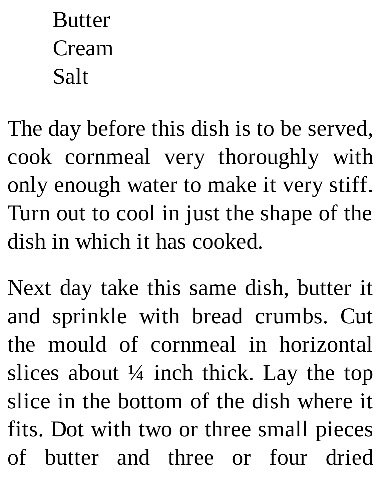# **Butter** Cream Salt

The day before this dish is to be served, cook cornmeal very thoroughly with only enough water to make it very stiff. Turn out to cool in just the shape of the dish in which it has cooked.

Next day take this same dish, butter it and sprinkle with bread crumbs. Cut the mould of cornmeal in horizontal slices about  $\frac{1}{4}$  inch thick. Lay the top slice in the bottom of the dish where it fits. Dot with two or three small pieces of butter and three or four dried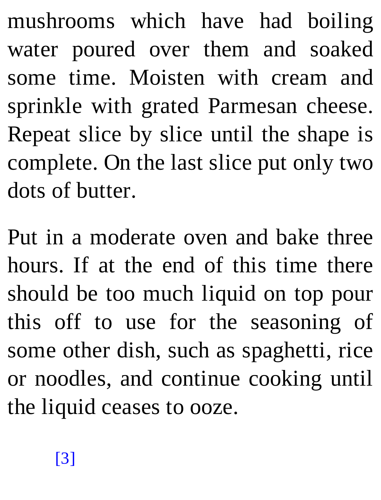mushrooms which have had boiling water poured over them and soaked some time. Moisten with cream and sprinkle with grated Parmesan cheese. Repeat slice by slice until the shape is complete. On the last slice put only two dots of butter.

Put in a moderate oven and bake three hours. If at the end of this time there should be too much liquid on top pour this off to use for the seasoning of some other dish, such as spaghetti, rice or noodles, and continue cooking until the liquid ceases to ooze.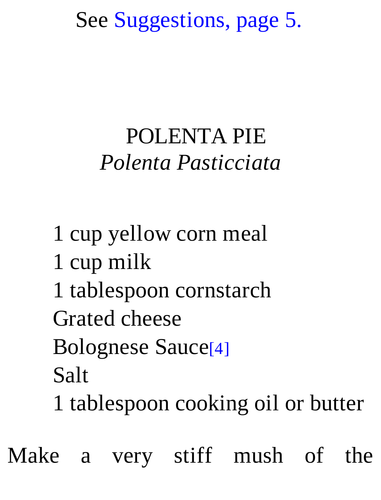See Suggestions, page 5.

#### POLENTA PIE *Polenta Pasticciata*

1 cup yellow corn meal 1 cup milk 1 tablespoon cornstarch Grated cheese Bolognese Sauce[4] Salt 1 tablespoon cooking oil or butter

Make a very stiff mush of the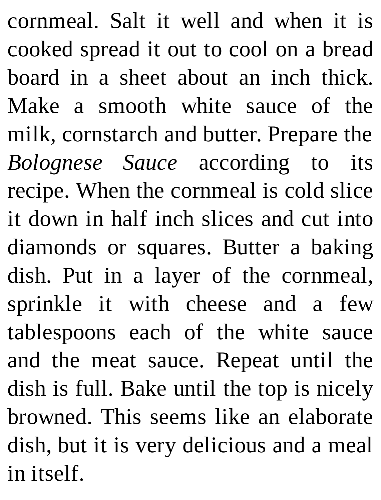cornmeal. Salt it well and when it is cooked spread it out to cool on a bread board in a sheet about an inch thick. Make a smooth white sauce of the milk, cornstarch and butter. Prepare the *Bolognese Sauce* according to its recipe. When the cornmeal is cold slice it down in half inch slices and cut into diamonds or squares. Butter a baking dish. Put in a layer of the cornmeal, sprinkle it with cheese and a few tablespoons each of the white sauce and the meat sauce. Repeat until the dish is full. Bake until the top is nicely browned. This seems like an elaborate dish, but it is very delicious and a meal in itself.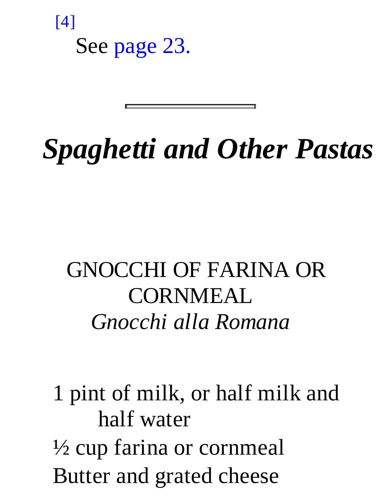[4] See page 23.

*Spaghetti and Other Pastas*

GNOCCHI OF FARINA OR **CORNMEAL** *Gnocchi alla Romana*

1 pint of milk, or half milk and half water ½ cup farina or cornmeal Butter and grated cheese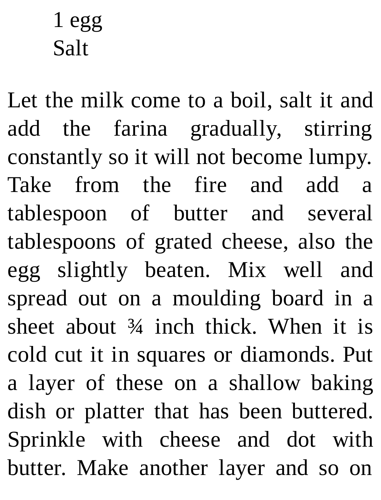# 1 egg Salt

Let the milk come to a boil, salt it and add the farina gradually, stirring constantly so it will not become lumpy. Take from the fire and add a tablespoon of butter and several tablespoons of grated cheese, also the egg slightly beaten. Mix well and spread out on a moulding board in a sheet about ¾ inch thick. When it is cold cut it in squares or diamonds. Put a layer of these on a shallow baking dish or platter that has been buttered. Sprinkle with cheese and dot with butter. Make another layer and so on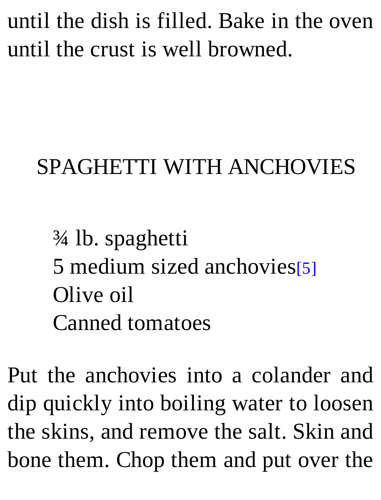until the dish is filled. Bake in the oven until the crust is well browned.

#### SPAGHETTI WITH ANCHOVIES

¾ lb. spaghetti 5 medium sized anchovies[5] Olive oil Canned tomatoes

Put the anchovies into a colander and dip quickly into boiling water to loosen the skins, and remove the salt. Skin and bone them. Chop them and put over the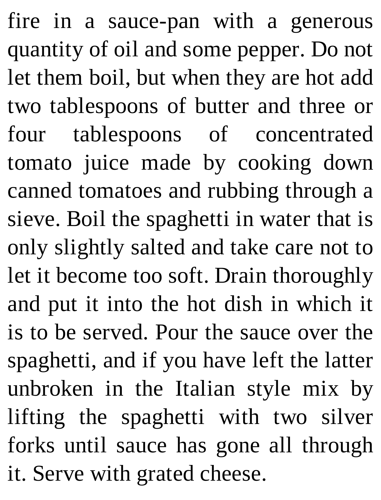fire in a sauce-pan with a generous quantity of oil and some pepper. Do not let them boil, but when they are hot add two tablespoons of butter and three or four tablespoons of concentrated tomato juice made by cooking down canned tomatoes and rubbing through a sieve. Boil the spaghetti in water that is only slightly salted and take care not to let it become too soft. Drain thoroughly and put it into the hot dish in which it is to be served. Pour the sauce over the spaghetti, and if you have left the latter unbroken in the Italian style mix by lifting the spaghetti with two silver forks until sauce has gone all through it. Serve with grated cheese.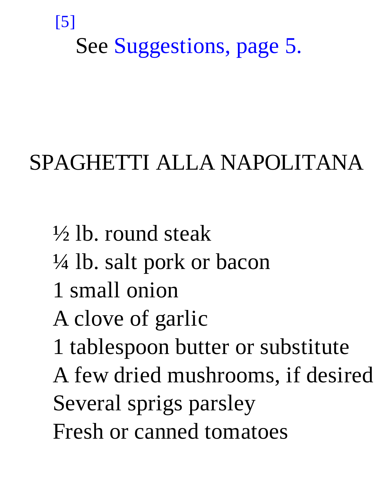#### [5]

See Suggestions, page 5.

#### SPAGHETTI ALLA NAPOLITANA

½ lb. round steak ¼ lb. salt pork or bacon 1 small onion A clove of garlic 1 tablespoon butter or substitute A few dried mushrooms, if desired Several sprigs parsley Fresh or canned tomatoes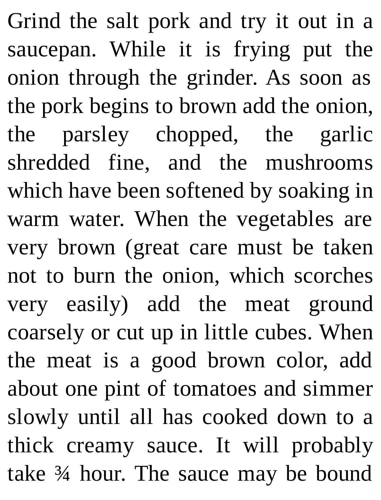Grind the salt pork and try it out in a saucepan. While it is frying put the onion through the grinder. As soon as the pork begins to brown add the onion, the parsley chopped, the garlic shredded fine, and the mushrooms which have been softened by soaking in warm water. When the vegetables are very brown (great care must be taken not to burn the onion, which scorches very easily) add the meat ground coarsely or cut up in little cubes. When the meat is a good brown color, add about one pint of tomatoes and simmer slowly until all has cooked down to a thick creamy sauce. It will probably take ¾ hour. The sauce may be bound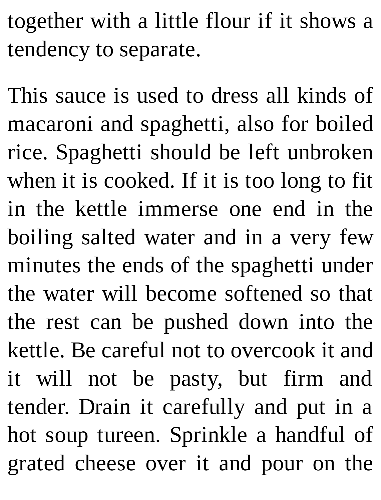together with a little flour if it shows a tendency to separate.

This sauce is used to dress all kinds of macaroni and spaghetti, also for boiled rice. Spaghetti should be left unbroken when it is cooked. If it is too long to fit in the kettle immerse one end in the boiling salted water and in a very few minutes the ends of the spaghetti under the water will become softened so that the rest can be pushed down into the kettle. Be careful not to overcook it and it will not be pasty, but firm and tender. Drain it carefully and put in a hot soup tureen. Sprinkle a handful of grated cheese over it and pour on the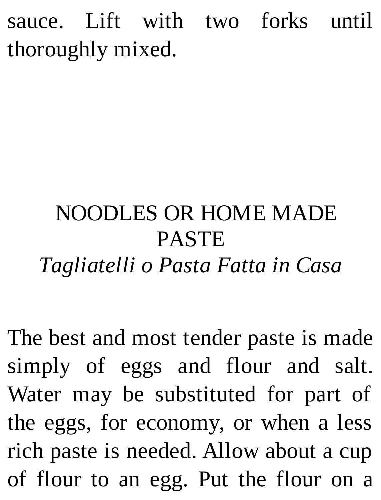sauce. Lift with two forks until thoroughly mixed.

# NOODLES OR HOME MADE PASTE *Tagliatelli o Pasta Fatta in Casa*

The best and most tender paste is made simply of eggs and flour and salt. Water may be substituted for part of the eggs, for economy, or when a less rich paste is needed. Allow about a cup of flour to an egg. Put the flour on a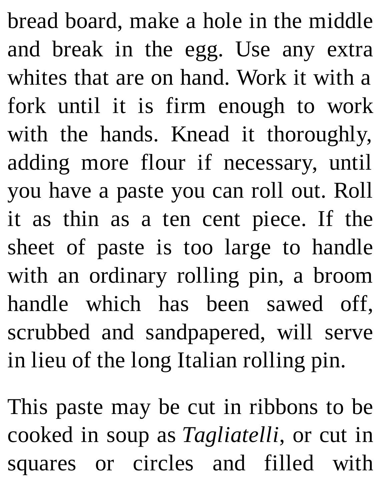bread board, make a hole in the middle and break in the egg. Use any extra whites that are on hand. Work it with a fork until it is firm enough to work with the hands. Knead it thoroughly, adding more flour if necessary, until you have a paste you can roll out. Roll it as thin as a ten cent piece. If the sheet of paste is too large to handle with an ordinary rolling pin, a broom handle which has been sawed off, scrubbed and sandpapered, will serve in lieu of the long Italian rolling pin.

This paste may be cut in ribbons to be cooked in soup as *Tagliatelli*, or cut in squares or circles and filled with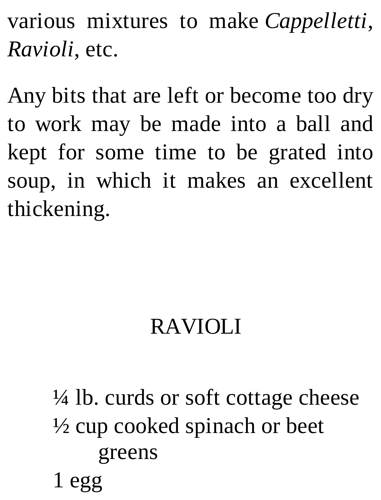various mixtures to make *Cappelletti*, *Ravioli*, etc.

Any bits that are left or become too dry to work may be made into a ball and kept for some time to be grated into soup, in which it makes an excellent thickening.

# RAVIOLI

 $\frac{1}{4}$  lb. curds or soft cottage cheese ½ cup cooked spinach or beet greens

# 1 egg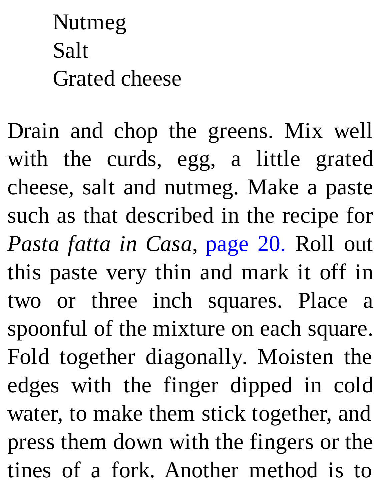Nutmeg Salt Grated cheese

Drain and chop the greens. Mix well with the curds, egg, a little grated cheese, salt and nutmeg. Make a paste such as that described in the recipe for *Pasta fatta in Casa*, page 20. Roll out this paste very thin and mark it off in two or three inch squares. Place a spoonful of the mixture on each square. Fold together diagonally. Moisten the edges with the finger dipped in cold water, to make them stick together, and press them down with the fingers or the tines of a fork. Another method is to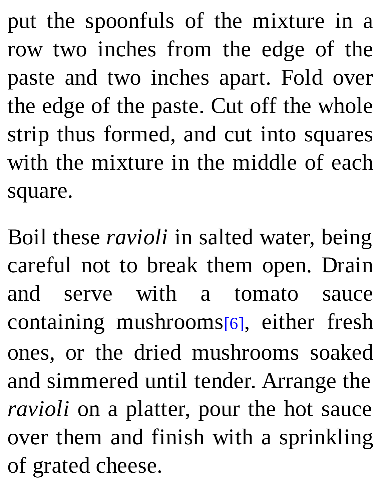put the spoonfuls of the mixture in a row two inches from the edge of the paste and two inches apart. Fold over the edge of the paste. Cut off the whole strip thus formed, and cut into squares with the mixture in the middle of each square.

Boil these *ravioli* in salted water, being careful not to break them open. Drain and serve with a tomato sauce containing mushrooms[6], either fresh ones, or the dried mushrooms soaked and simmered until tender. Arrange the *ravioli* on a platter, pour the hot sauce over them and finish with a sprinkling of grated cheese.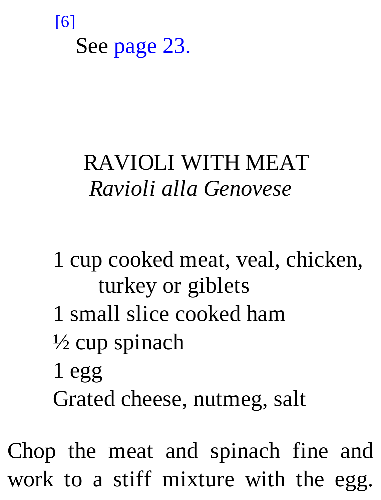#### [6]

See page 23.

## RAVIOLI WITH MEAT *Ravioli alla Genovese*

1 cup cooked meat, veal, chicken, turkey or giblets 1 small slice cooked ham ½ cup spinach 1 egg Grated cheese, nutmeg, salt

Chop the meat and spinach fine and work to a stiff mixture with the egg.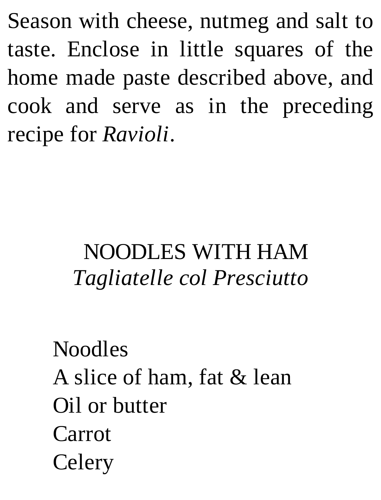Season with cheese, nutmeg and salt to taste. Enclose in little squares of the home made paste described above, and cook and serve as in the preceding recipe for *Ravioli*.

# NOODLES WITH HAM *Tagliatelle col Presciutto*

Noodles A slice of ham, fat & lean Oil or butter Carrot Celery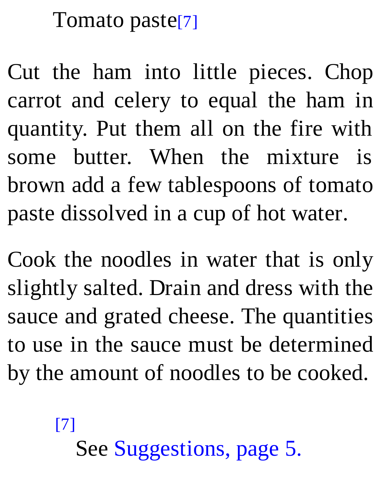#### Tomato paste[7]

Cut the ham into little pieces. Chop carrot and celery to equal the ham in quantity. Put them all on the fire with some butter. When the mixture is brown add a few tablespoons of tomato paste dissolved in a cup of hot water.

Cook the noodles in water that is only slightly salted. Drain and dress with the sauce and grated cheese. The quantities to use in the sauce must be determined by the amount of noodles to be cooked.

### [7] See Suggestions, page 5.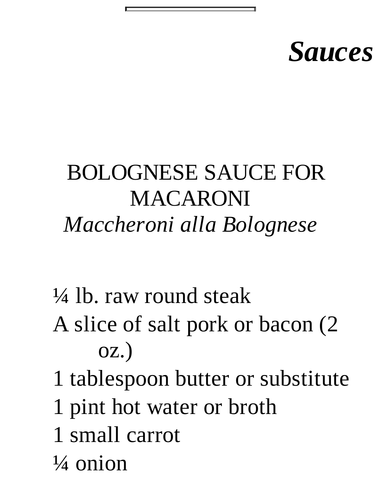# *Sauces*

## BOLOGNESE SAUCE FOR MACARONI *Maccheroni alla Bolognese*

- ¼ lb. raw round steak
- A slice of salt pork or bacon (2 oz.)
- 1 tablespoon butter or substitute
- 1 pint hot water or broth
- 1 small carrot
- $\frac{1}{4}$  onion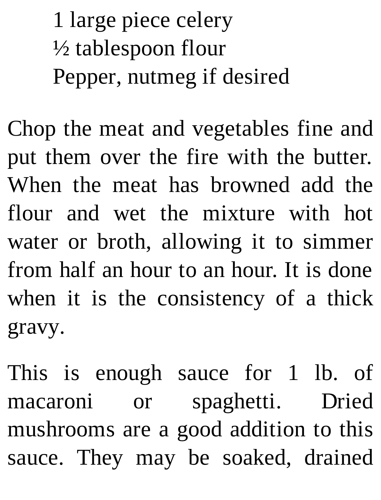1 large piece celery  $\frac{1}{2}$  tablespoon flour Pepper, nutmeg if desired

Chop the meat and vegetables fine and put them over the fire with the butter. When the meat has browned add the flour and wet the mixture with hot water or broth, allowing it to simmer from half an hour to an hour. It is done when it is the consistency of a thick gravy.

This is enough sauce for 1 lb. of macaroni or spaghetti. Dried mushrooms are a good addition to this sauce. They may be soaked, drained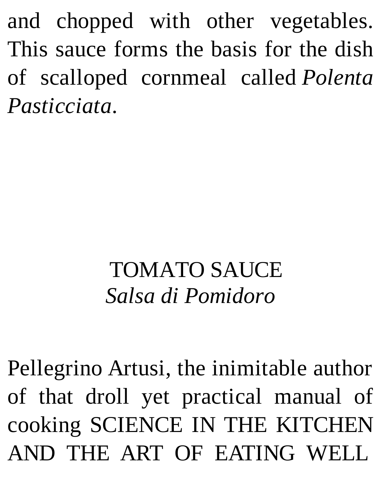and chopped with other vegetables. This sauce forms the basis for the dish of scalloped cornmeal called *Polenta Pasticciata*.

## TOMATO SAUCE *Salsa di Pomidoro*

Pellegrino Artusi, the inimitable author of that droll yet practical manual of cooking SCIENCE IN THE KITCHEN AND THE ART OF EATING WELL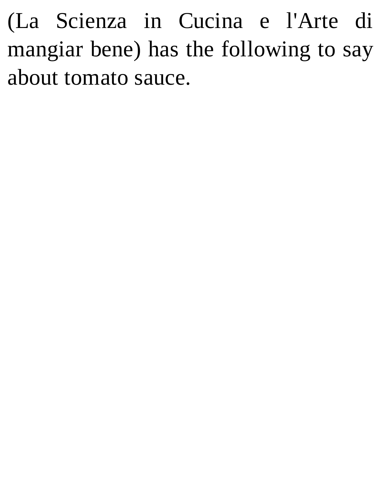(La Scienza in Cucina e l'Arte di mangiar bene) has the following to say about tomato sauce.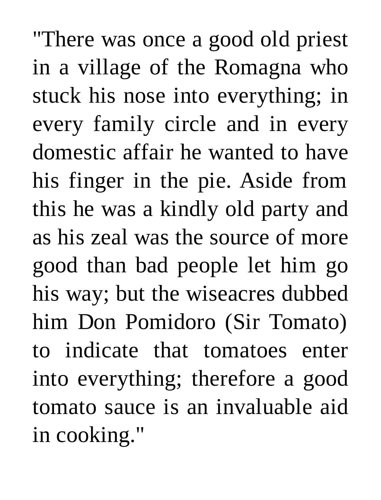"There was once a good old priest in a village of the Romagna who stuck his nose into everything; in every family circle and in every domestic affair he wanted to have his finger in the pie. Aside from this he was a kindly old party and as his zeal was the source of more good than bad people let him go his way; but the wiseacres dubbed him Don Pomidoro (Sir Tomato) to indicate that tomatoes enter into everything; therefore a good tomato sauce is an invaluable aid in cooking."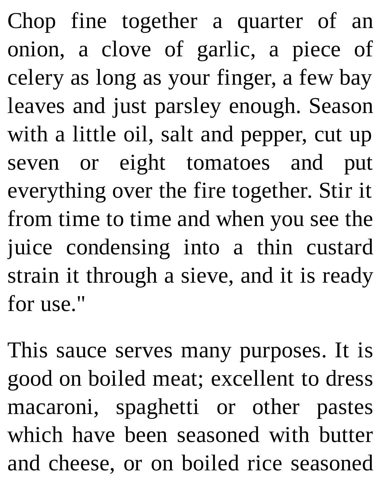Chop fine together a quarter of an onion, a clove of garlic, a piece of celery as long as your finger, a few bay leaves and just parsley enough. Season with a little oil, salt and pepper, cut up seven or eight tomatoes and put everything over the fire together. Stir it from time to time and when you see the juice condensing into a thin custard strain it through a sieve, and it is ready for use."

This sauce serves many purposes. It is good on boiled meat; excellent to dress macaroni, spaghetti or other pastes which have been seasoned with butter and cheese, or on boiled rice seasoned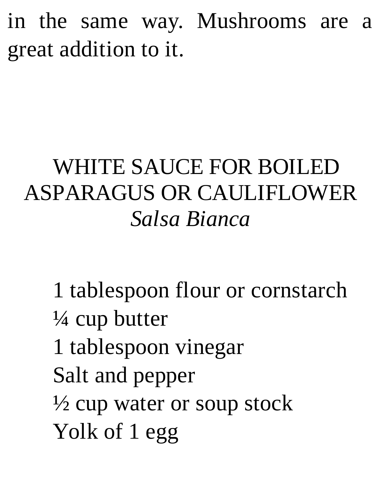in the same way. Mushrooms are a great addition to it.

# WHITE SAUCE FOR BOILED ASPARAGUS OR CAULIFLOWER *Salsa Bianca*

1 tablespoon flour or cornstarch ¼ cup butter 1 tablespoon vinegar Salt and pepper  $\frac{1}{2}$  cup water or soup stock Yolk of 1 egg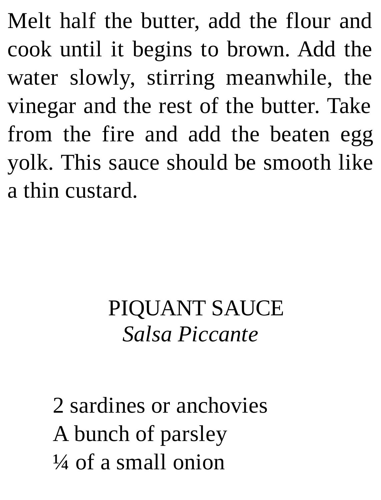Melt half the butter, add the flour and cook until it begins to brown. Add the water slowly, stirring meanwhile, the vinegar and the rest of the butter. Take from the fire and add the beaten egg yolk. This sauce should be smooth like a thin custard.

## PIQUANT SAUCE *Salsa Piccante*

2 sardines or anchovies A bunch of parsley  $\frac{1}{4}$  of a small onion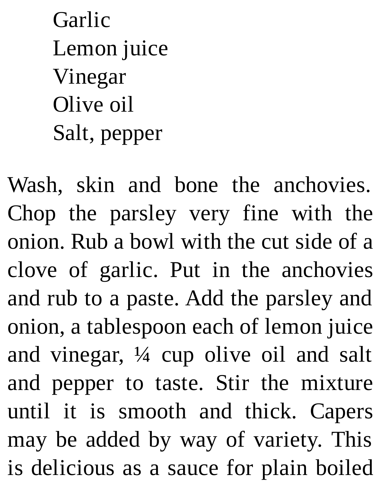Garlic Lemon juice Vinegar Olive oil Salt, pepper

Wash, skin and bone the anchovies. Chop the parsley very fine with the onion. Rub a bowl with the cut side of a clove of garlic. Put in the anchovies and rub to a paste. Add the parsley and onion, a tablespoon each of lemon juice and vinegar, ¼ cup olive oil and salt and pepper to taste. Stir the mixture until it is smooth and thick. Capers may be added by way of variety. This is delicious as a sauce for plain boiled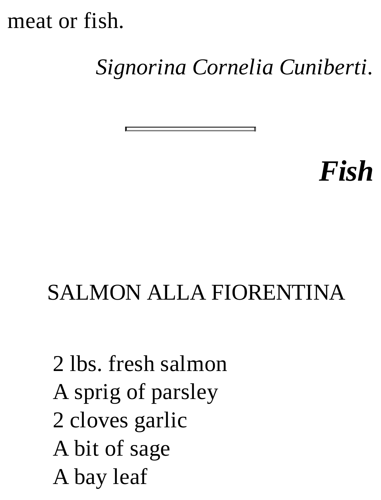meat or fish.

#### *Signorina Cornelia Cuniberti.*

*Fish*

#### SALMON ALLA FIORENTINA

2 lbs. fresh salmon A sprig of parsley 2 cloves garlic A bit of sage A bay leaf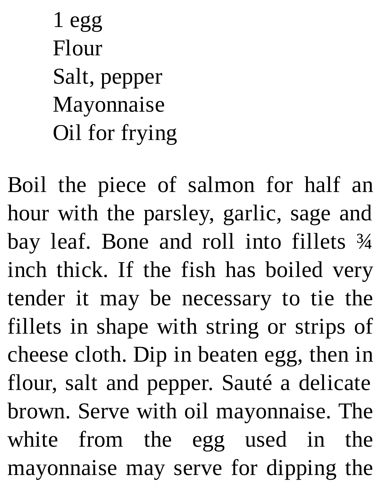1 egg Flour Salt, pepper Mayonnaise Oil for frying

Boil the piece of salmon for half an hour with the parsley, garlic, sage and bay leaf. Bone and roll into fillets ¾ inch thick. If the fish has boiled very tender it may be necessary to tie the fillets in shape with string or strips of cheese cloth. Dip in beaten egg, then in flour, salt and pepper. Sauté a delicate brown. Serve with oil mayonnaise. The white from the egg used in the mayonnaise may serve for dipping the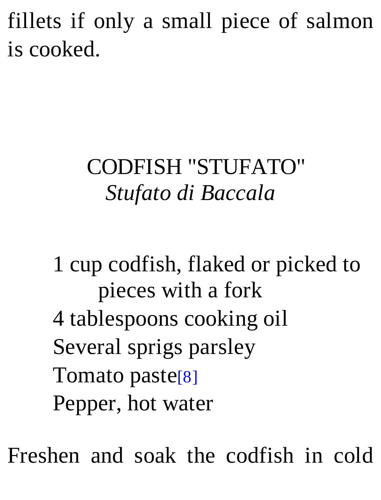fillets if only a small piece of salmon is cooked.

# CODFISH "STUFATO" *Stufato di Baccala*

1 cup codfish, flaked or picked to pieces with a fork 4 tablespoons cooking oil Several sprigs parsley Tomato paste[8] Pepper, hot water

Freshen and soak the codfish in cold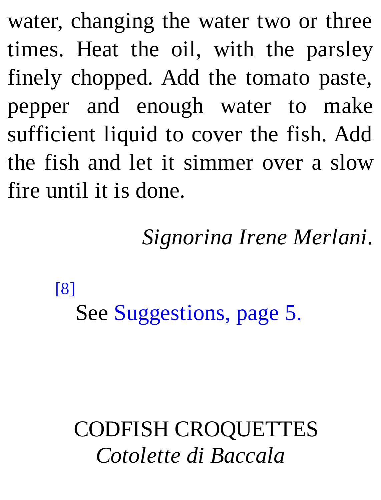water, changing the water two or three times. Heat the oil, with the parsley finely chopped. Add the tomato paste, pepper and enough water to make sufficient liquid to cover the fish. Add the fish and let it simmer over a slow fire until it is done.

*Signorina Irene Merlani.*

[8]

See Suggestions, page 5.

CODFISH CROQUETTES *Cotolette di Baccala*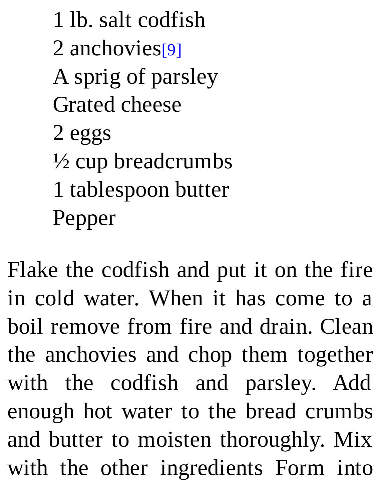1 lb. salt codfish 2 anchovies<sup>[9]</sup> A sprig of parsley Grated cheese 2 eggs ½ cup breadcrumbs 1 tablespoon butter Pepper

Flake the codfish and put it on the fire in cold water. When it has come to a boil remove from fire and drain. Clean the anchovies and chop them together with the codfish and parsley. Add enough hot water to the bread crumbs and butter to moisten thoroughly. Mix with the other ingredients Form into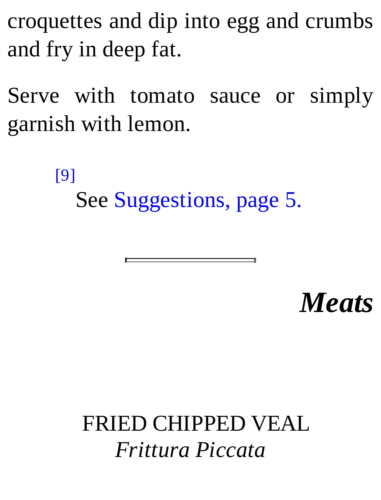croquettes and dip into egg and crumbs and fry in deep fat.

Serve with tomato sauce or simply garnish with lemon.

[9]

See Suggestions, page 5.

*Meats*

FRIED CHIPPED VEAL *Frittura Piccata*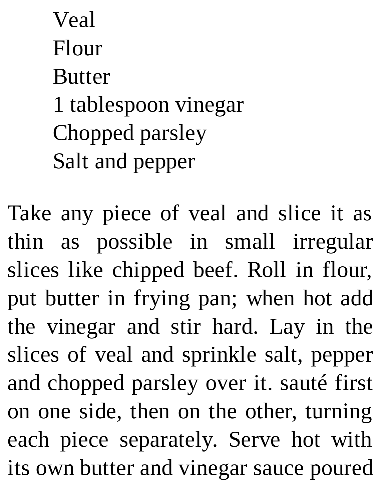Veal Flour **Butter** 1 tablespoon vinegar Chopped parsley Salt and pepper

Take any piece of veal and slice it as thin as possible in small irregular slices like chipped beef. Roll in flour, put butter in frying pan; when hot add the vinegar and stir hard. Lay in the slices of veal and sprinkle salt, pepper and chopped parsley over it. sauté first on one side, then on the other, turning each piece separately. Serve hot with its own butter and vinegar sauce poured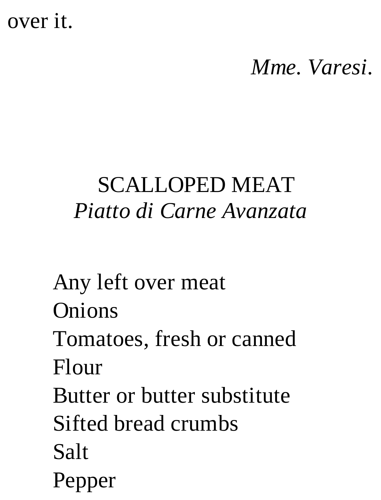# over it.

#### *Mme. Varesi.*

## SCALLOPED MEAT *Piatto di Carne Avanzata*

Any left over meat **Onions** 

Tomatoes, fresh or canned Flour

Butter or butter substitute Sifted bread crumbs Salt

Pepper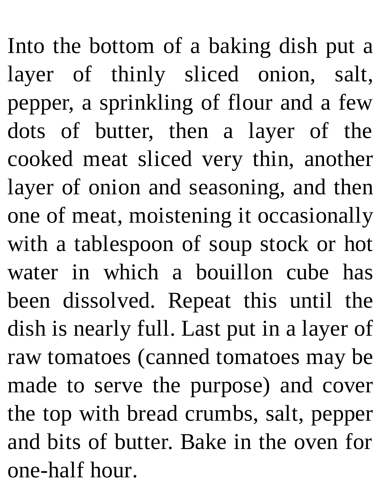Into the bottom of a baking dish put a layer of thinly sliced onion, salt, pepper, a sprinkling of flour and a few dots of butter, then a layer of the cooked meat sliced very thin, another layer of onion and seasoning, and then one of meat, moistening it occasionally with a tablespoon of soup stock or hot water in which a bouillon cube has been dissolved. Repeat this until the dish is nearly full. Last put in a layer of raw tomatoes (canned tomatoes may be made to serve the purpose) and cover the top with bread crumbs, salt, pepper and bits of butter. Bake in the oven for one-half hour.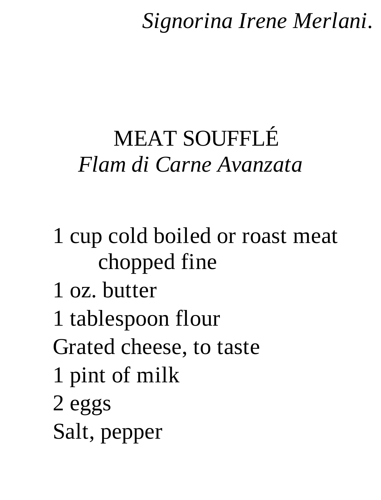#### *Signorina Irene Merlani.*

# MEAT SOUFFLÉ *Flam di Carne Avanzata*

# 1 cup cold boiled or roast meat chopped fine

- 1 oz. butter
- 1 tablespoon flour
- Grated cheese, to taste
- 1 pint of milk
- 2 eggs
- Salt, pepper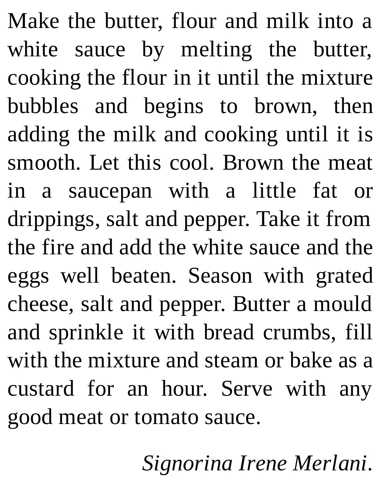Make the butter, flour and milk into a white sauce by melting the butter, cooking the flour in it until the mixture bubbles and begins to brown, then adding the milk and cooking until it is smooth. Let this cool. Brown the meat in a saucepan with a little fat or drippings, salt and pepper. Take it from the fire and add the white sauce and the eggs well beaten. Season with grated cheese, salt and pepper. Butter a mould and sprinkle it with bread crumbs, fill with the mixture and steam or bake as a custard for an hour. Serve with any good meat or tomato sauce.

*Signorina Irene Merlani.*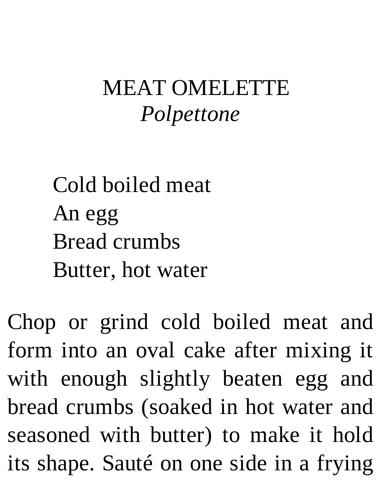## MEAT OMELETTE *Polpettone*

Cold boiled meat An egg Bread crumbs Butter, hot water

Chop or grind cold boiled meat and form into an oval cake after mixing it with enough slightly beaten egg and bread crumbs (soaked in hot water and seasoned with butter) to make it hold its shape. Sauté on one side in a frying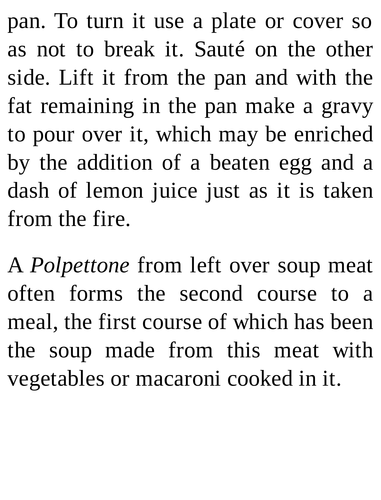pan. To turn it use a plate or cover so as not to break it. Sauté on the other side. Lift it from the pan and with the fat remaining in the pan make a gravy to pour over it, which may be enriched by the addition of a beaten egg and a dash of lemon juice just as it is taken from the fire.

A *Polpettone* from left over soup meat often forms the second course to a meal, the first course of which has been the soup made from this meat with vegetables or macaroni cooked in it.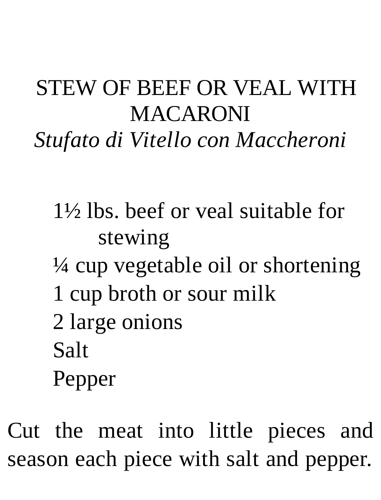#### STEW OF BEEF OR VEAL WITH **MACARONI** *Stufato di Vitello con Maccheroni*

- 1½ lbs. beef or veal suitable for stewing
- $\frac{1}{4}$  cup vegetable oil or shortening
- 1 cup broth or sour milk
- 2 large onions
- Salt
- Pepper

Cut the meat into little pieces and season each piece with salt and pepper.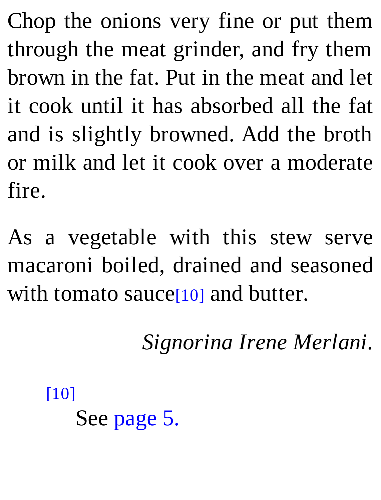Chop the onions very fine or put them through the meat grinder, and fry them brown in the fat. Put in the meat and let it cook until it has absorbed all the fat and is slightly browned. Add the broth or milk and let it cook over a moderate fire.

As a vegetable with this stew serve macaroni boiled, drained and seasoned with tomato sauce<sup>[10]</sup> and butter.

*Signorina Irene Merlani.*

[10] See page 5.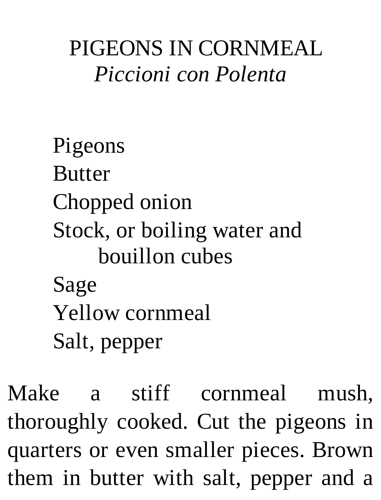#### PIGEONS IN CORNMEAL *Piccioni con Polenta*

# Pigeons **Butter** Chopped onion Stock, or boiling water and bouillon cubes Sage Yellow cornmeal Salt, pepper

Make a stiff cornmeal mush, thoroughly cooked. Cut the pigeons in quarters or even smaller pieces. Brown them in butter with salt, pepper and a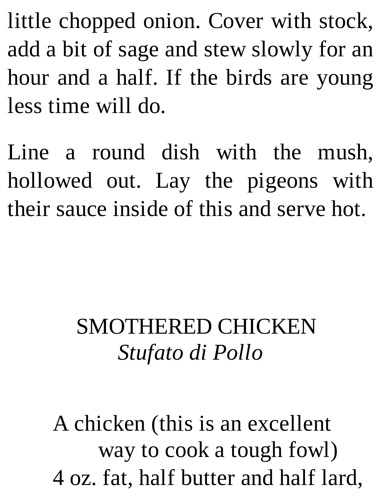little chopped onion. Cover with stock, add a bit of sage and stew slowly for an hour and a half. If the birds are young less time will do.

Line a round dish with the mush, hollowed out. Lay the pigeons with their sauce inside of this and serve hot.

## SMOTHERED CHICKEN *Stufato di Pollo*

A chicken (this is an excellent way to cook a tough fowl) 4 oz. fat, half butter and half lard,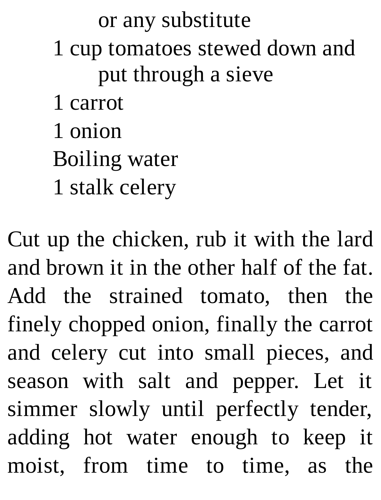or any substitute 1 cup tomatoes stewed down and put through a sieve 1 carrot 1 onion Boiling water 1 stalk celery

Cut up the chicken, rub it with the lard and brown it in the other half of the fat. Add the strained tomato, then the finely chopped onion, finally the carrot and celery cut into small pieces, and season with salt and pepper. Let it simmer slowly until perfectly tender, adding hot water enough to keep it moist, from time to time, as the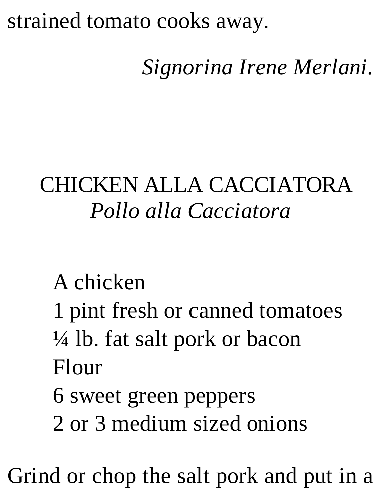#### strained tomato cooks away.

## *Signorina Irene Merlani.*

#### CHICKEN ALLA CACCIATORA *Pollo alla Cacciatora*

#### A chicken

- 1 pint fresh or canned tomatoes
- ¼ lb. fat salt pork or bacon Flour
- 6 sweet green peppers
- 2 or 3 medium sized onions

Grind or chop the salt pork and put in a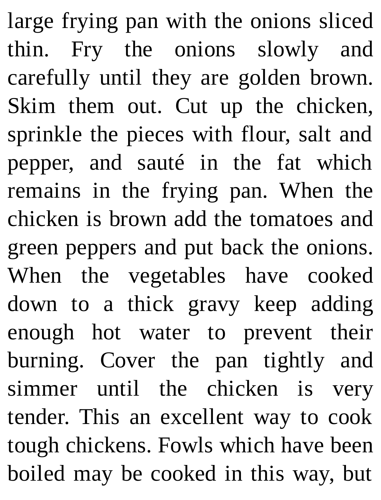large frying pan with the onions sliced thin. Fry the onions slowly and carefully until they are golden brown. Skim them out. Cut up the chicken, sprinkle the pieces with flour, salt and pepper, and sauté in the fat which remains in the frying pan. When the chicken is brown add the tomatoes and green peppers and put back the onions. When the vegetables have cooked down to a thick gravy keep adding enough hot water to prevent their burning. Cover the pan tightly and simmer until the chicken is very tender. This an excellent way to cook tough chickens. Fowls which have been boiled may be cooked in this way, but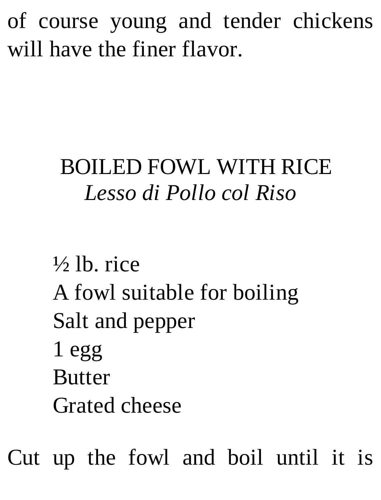of course young and tender chickens will have the finer flavor.

## BOILED FOWL WITH RICE *Lesso di Pollo col Riso*

 $\frac{1}{2}$ lb. rice A fowl suitable for boiling Salt and pepper 1 egg **Butter** Grated cheese

Cut up the fowl and boil until it is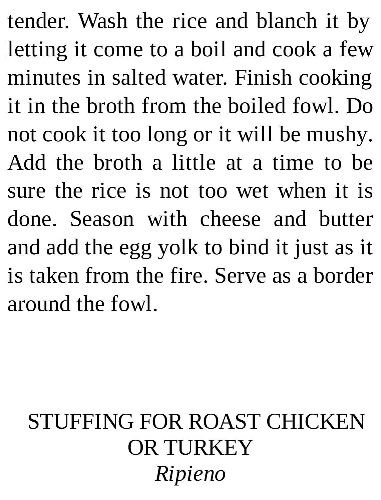tender. Wash the rice and blanch it by letting it come to a boil and cook a few minutes in salted water. Finish cooking it in the broth from the boiled fowl. Do not cook it too long or it will be mushy. Add the broth a little at a time to be sure the rice is not too wet when it is done. Season with cheese and butter and add the egg yolk to bind it just as it is taken from the fire. Serve as a border around the fowl.

#### STUFFING FOR ROAST CHICKEN OR TURKEY *Ripieno*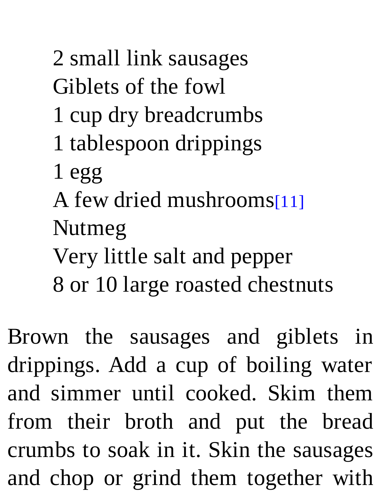2 small link sausages Giblets of the fowl 1 cup dry breadcrumbs 1 tablespoon drippings 1 egg A few dried mushrooms[11] Nutmeg Very little salt and pepper 8 or 10 large roasted chestnuts

Brown the sausages and giblets in drippings. Add a cup of boiling water and simmer until cooked. Skim them from their broth and put the bread crumbs to soak in it. Skin the sausages and chop or grind them together with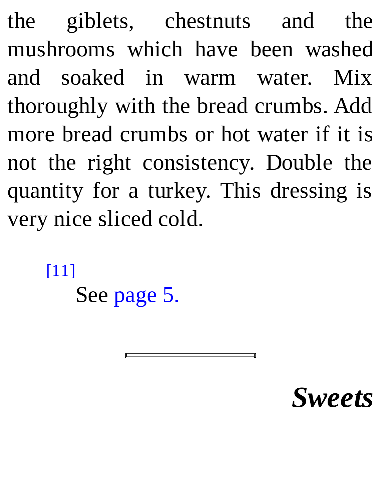the giblets, chestnuts and the mushrooms which have been washed and soaked in warm water. Mix thoroughly with the bread crumbs. Add more bread crumbs or hot water if it is not the right consistency. Double the quantity for a turkey. This dressing is very nice sliced cold.

[11]

See page 5.

# *Sweets*

 $\overline{\phantom{0}}$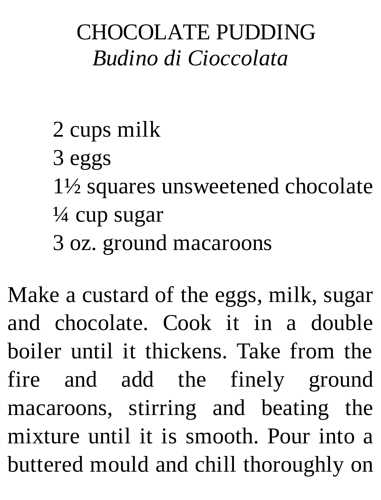## CHOCOLATE PUDDING *Budino di Cioccolata*

- 2 cups milk
	- 3 eggs
	- 1½ squares unsweetened chocolate
	- ¼ cup sugar
	- 3 oz. ground macaroons

Make a custard of the eggs, milk, sugar and chocolate. Cook it in a double boiler until it thickens. Take from the fire and add the finely ground macaroons, stirring and beating the mixture until it is smooth. Pour into a buttered mould and chill thoroughly on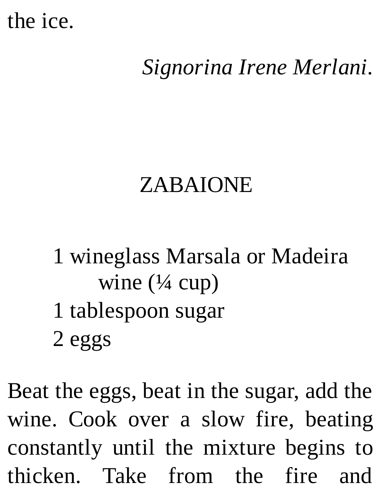#### the ice.

## *Signorina Irene Merlani.*

#### ZABAIONE

- 1 wineglass Marsala or Madeira wine  $(\frac{1}{4}$  cup)
- 1 tablespoon sugar
- 2 eggs

Beat the eggs, beat in the sugar, add the wine. Cook over a slow fire, beating constantly until the mixture begins to thicken. Take from the fire and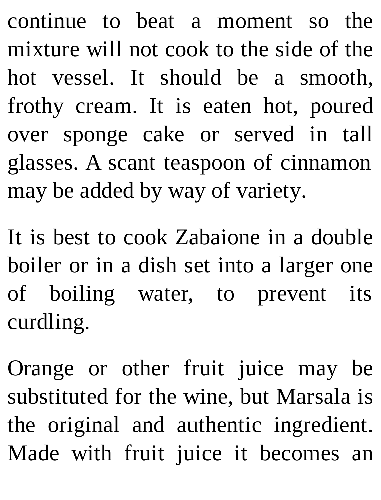continue to beat a moment so the mixture will not cook to the side of the hot vessel. It should be a smooth, frothy cream. It is eaten hot, poured over sponge cake or served in tall glasses. A scant teaspoon of cinnamon may be added by way of variety.

It is best to cook Zabaione in a double boiler or in a dish set into a larger one of boiling water, to prevent its curdling.

Orange or other fruit juice may be substituted for the wine, but Marsala is the original and authentic ingredient. Made with fruit juice it becomes an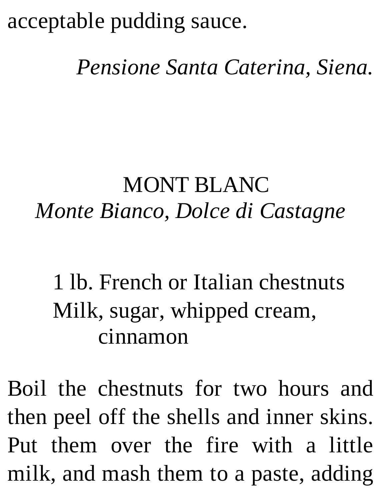## acceptable pudding sauce.

#### *Pensione Santa Caterina, Siena.*

#### MONT BLANC *Monte Bianco, Dolce di Castagne*

1 lb. French or Italian chestnuts Milk, sugar, whipped cream, cinnamon

Boil the chestnuts for two hours and then peel off the shells and inner skins. Put them over the fire with a little milk, and mash them to a paste, adding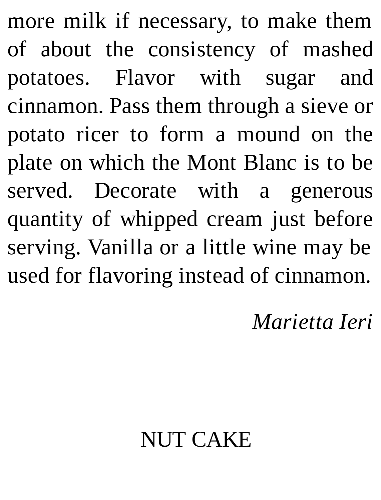more milk if necessary, to make them of about the consistency of mashed potatoes. Flavor with sugar and cinnamon. Pass them through a sieve or potato ricer to form a mound on the plate on which the Mont Blanc is to be served. Decorate with a generous quantity of whipped cream just before serving. Vanilla or a little wine may be used for flavoring instead of cinnamon.

*Marietta Ieri*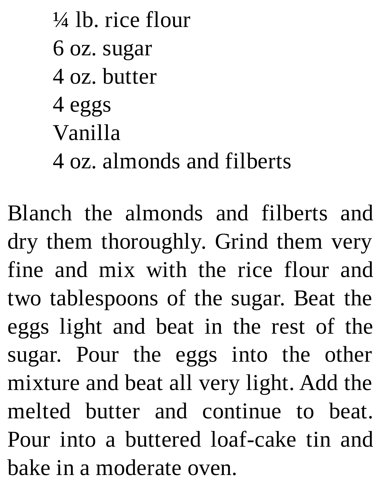$\frac{1}{4}$  lb. rice flour 6 oz. sugar 4 oz. butter 4 eggs Vanilla 4 oz. almonds and filberts

Blanch the almonds and filberts and dry them thoroughly. Grind them very fine and mix with the rice flour and two tablespoons of the sugar. Beat the eggs light and beat in the rest of the sugar. Pour the eggs into the other mixture and beat all very light. Add the melted butter and continue to beat. Pour into a buttered loaf-cake tin and bake in a moderate oven.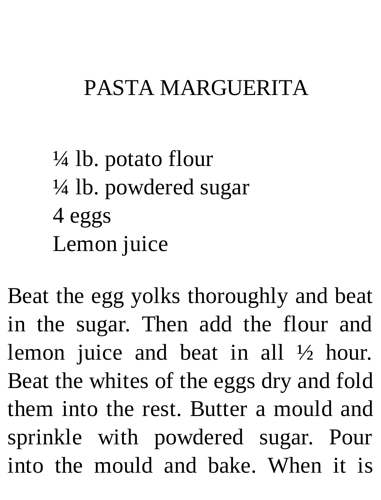#### PASTA MARGUERITA

# $\frac{1}{4}$  lb. potato flour ¼ lb. powdered sugar 4 eggs Lemon juice

Beat the egg yolks thoroughly and beat in the sugar. Then add the flour and lemon juice and beat in all ½ hour. Beat the whites of the eggs dry and fold them into the rest. Butter a mould and sprinkle with powdered sugar. Pour into the mould and bake. When it is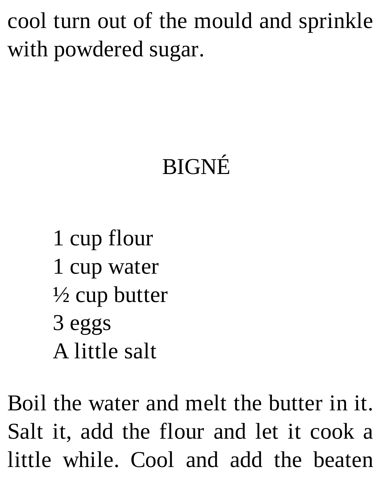cool turn out of the mould and sprinkle with powdered sugar.

# BIGNÉ

1 cup flour 1 cup water  $\frac{1}{2}$  cup butter 3 eggs A little salt

Boil the water and melt the butter in it. Salt it, add the flour and let it cook a little while. Cool and add the beaten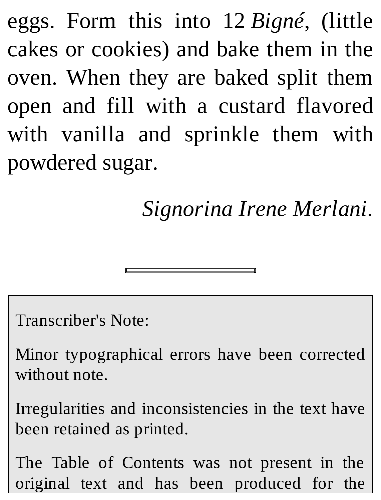eggs. Form this into 12 *Bigné*, (little cakes or cookies) and bake them in the oven. When they are baked split them open and fill with a custard flavored with vanilla and sprinkle them with powdered sugar.

*Signorina Irene Merlani.*

Transcriber's Note:

Minor typographical errors have been corrected without note.

Irregularities and inconsistencies in the text have been retained as printed.

The Table of Contents was not present in the original text and has been produced for the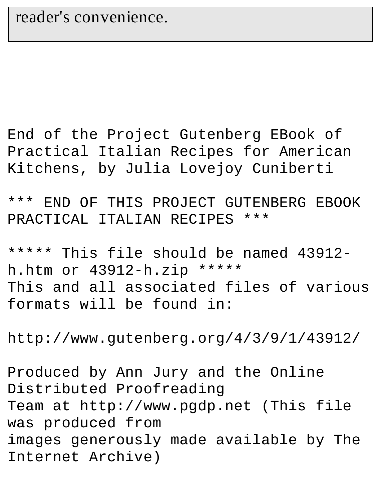End of the Project Gutenberg EBook of Practical Italian Recipes for American Kitchens, by Julia Lovejoy Cuniberti

\*\*\* END OF THIS PROJECT GUTENBERG EBOOK PRACTICAL ITALIAN RECIPES \*\*\*

\*\*\*\*\* This file should be named 43912 h.htm or 43912-h.zip \*\*\*\*\* This and all associated files of various formats will be found in:

http://www.gutenberg.org/4/3/9/1/43912/

Produced by Ann Jury and the Online Distributed Proofreading Team at http://www.pgdp.net (This file was produced from images generously made available by The Internet Archive)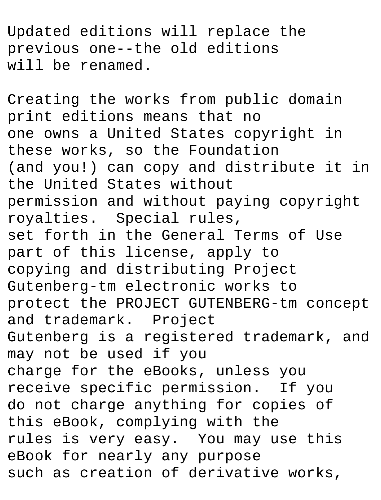Updated editions will replace the previous one--the old editions will be renamed.

Creating the works from public domain print editions means that no one owns a United States copyright in these works, so the Foundation (and you!) can copy and distribute it in the United States without permission and without paying copyright royalties. Special rules, set forth in the General Terms of Use part of this license, apply to copying and distributing Project Gutenberg-tm electronic works to protect the PROJECT GUTENBERG-tm concept and trademark. Project Gutenberg is a registered trademark, and may not be used if you charge for the eBooks, unless you receive specific permission. If you do not charge anything for copies of this eBook, complying with the rules is very easy. You may use this eBook for nearly any purpose such as creation of derivative works,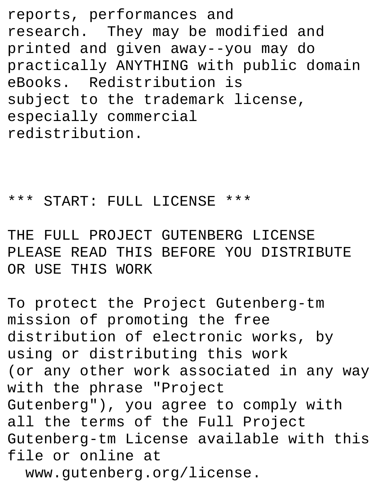reports, performances and research. They may be modified and printed and given away--you may do practically ANYTHING with public domain eBooks. Redistribution is subject to the trademark license, especially commercial redistribution.

\*\*\* START: FULL LICENSE \*\*\*

THE FULL PROJECT GUTENBERG LICENSE PLEASE READ THIS BEFORE YOU DISTRIBUTE OR USE THIS WORK

To protect the Project Gutenberg-tm mission of promoting the free distribution of electronic works, by using or distributing this work (or any other work associated in any way with the phrase "Project Gutenberg"), you agree to comply with all the terms of the Full Project Gutenberg-tm License available with this file or online at www.gutenberg.org/license.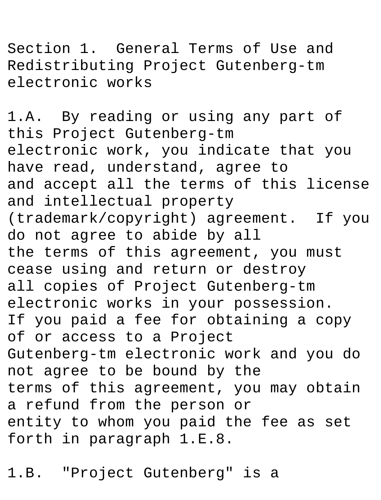Section 1. General Terms of Use and Redistributing Project Gutenberg-tm electronic works

1.A. By reading or using any part of this Project Gutenberg-tm electronic work, you indicate that you have read, understand, agree to and accept all the terms of this license and intellectual property (trademark/copyright) agreement. If you do not agree to abide by all the terms of this agreement, you must cease using and return or destroy all copies of Project Gutenberg-tm electronic works in your possession. If you paid a fee for obtaining a copy of or access to a Project Gutenberg-tm electronic work and you do not agree to be bound by the terms of this agreement, you may obtain a refund from the person or entity to whom you paid the fee as set forth in paragraph 1.E.8.

1.B. "Project Gutenberg" is a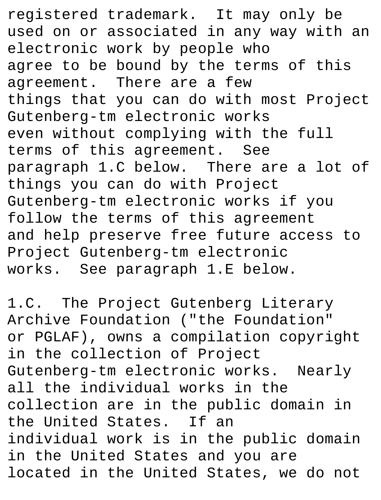registered trademark. It may only be used on or associated in any way with an electronic work by people who agree to be bound by the terms of this agreement. There are a few things that you can do with most Project Gutenberg-tm electronic works even without complying with the full terms of this agreement. See paragraph 1.C below. There are a lot of things you can do with Project Gutenberg-tm electronic works if you follow the terms of this agreement and help preserve free future access to Project Gutenberg-tm electronic works. See paragraph 1.E below.

1.C. The Project Gutenberg Literary Archive Foundation ("the Foundation" or PGLAF), owns a compilation copyright in the collection of Project Gutenberg-tm electronic works. Nearly all the individual works in the collection are in the public domain in the United States. If an individual work is in the public domain in the United States and you are located in the United States, we do not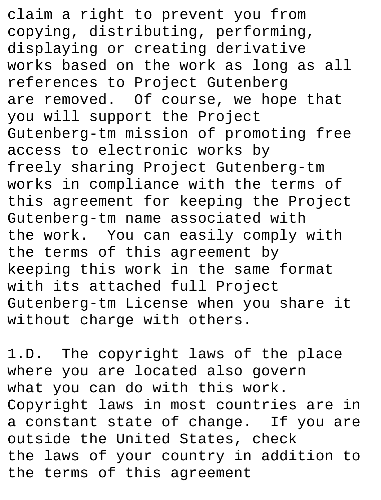claim a right to prevent you from copying, distributing, performing, displaying or creating derivative works based on the work as long as all references to Project Gutenberg are removed. Of course, we hope that you will support the Project Gutenberg-tm mission of promoting free access to electronic works by freely sharing Project Gutenberg-tm works in compliance with the terms of this agreement for keeping the Project Gutenberg-tm name associated with the work. You can easily comply with the terms of this agreement by keeping this work in the same format with its attached full Project Gutenberg-tm License when you share it without charge with others.

1.D. The copyright laws of the place where you are located also govern what you can do with this work. Copyright laws in most countries are in a constant state of change. If you are outside the United States, check the laws of your country in addition to the terms of this agreement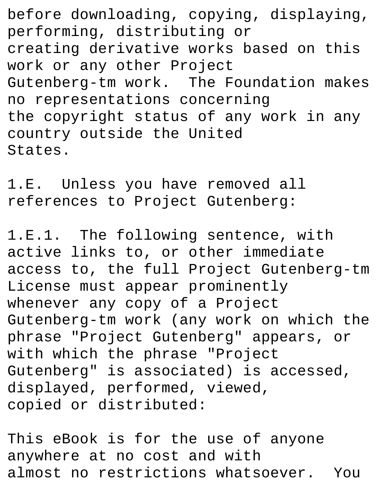before downloading, copying, displaying, performing, distributing or creating derivative works based on this work or any other Project Gutenberg-tm work. The Foundation makes no representations concerning the copyright status of any work in any country outside the United States.

1.E. Unless you have removed all references to Project Gutenberg:

1.E.1. The following sentence, with active links to, or other immediate access to, the full Project Gutenberg-tm License must appear prominently whenever any copy of a Project Gutenberg-tm work (any work on which the phrase "Project Gutenberg" appears, or with which the phrase "Project Gutenberg" is associated) is accessed, displayed, performed, viewed, copied or distributed:

This eBook is for the use of anyone anywhere at no cost and with almost no restrictions whatsoever. You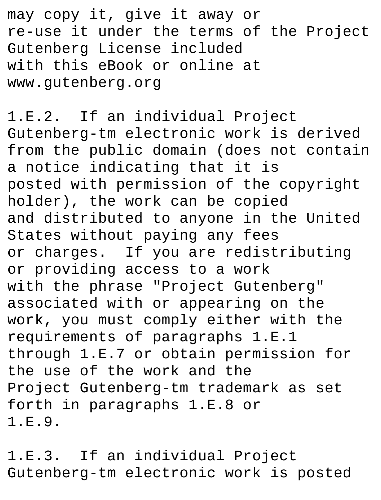may copy it, give it away or re-use it under the terms of the Project Gutenberg License included with this eBook or online at www.gutenberg.org

1.E.2. If an individual Project Gutenberg-tm electronic work is derived from the public domain (does not contain a notice indicating that it is posted with permission of the copyright holder), the work can be copied and distributed to anyone in the United States without paying any fees or charges. If you are redistributing or providing access to a work with the phrase "Project Gutenberg" associated with or appearing on the work, you must comply either with the requirements of paragraphs 1.E.1 through 1.E.7 or obtain permission for the use of the work and the Project Gutenberg-tm trademark as set forth in paragraphs 1.E.8 or 1.E.9.

1.E.3. If an individual Project Gutenberg-tm electronic work is posted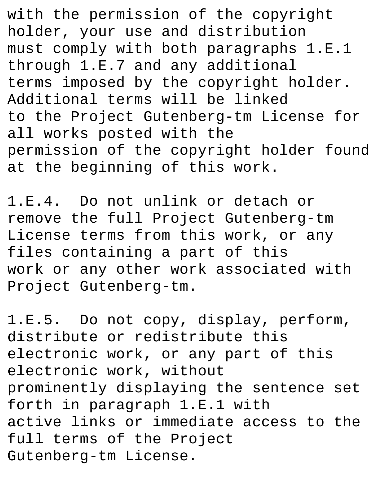with the permission of the copyright holder, your use and distribution must comply with both paragraphs 1.E.1 through 1.E.7 and any additional terms imposed by the copyright holder. Additional terms will be linked to the Project Gutenberg-tm License for all works posted with the permission of the copyright holder found at the beginning of this work.

1.E.4. Do not unlink or detach or remove the full Project Gutenberg-tm License terms from this work, or any files containing a part of this work or any other work associated with Project Gutenberg-tm.

1.E.5. Do not copy, display, perform, distribute or redistribute this electronic work, or any part of this electronic work, without prominently displaying the sentence set forth in paragraph 1.E.1 with active links or immediate access to the full terms of the Project Gutenberg-tm License.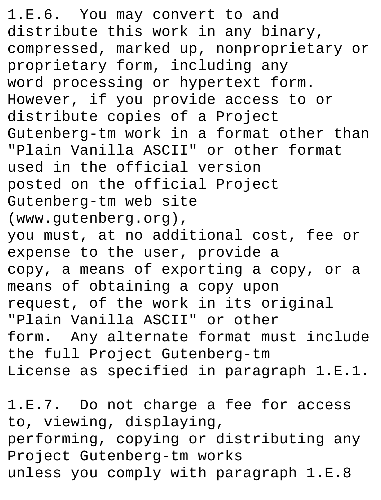1.E.6. You may convert to and distribute this work in any binary, compressed, marked up, nonproprietary or proprietary form, including any word processing or hypertext form. However, if you provide access to or distribute copies of a Project Gutenberg-tm work in a format other than "Plain Vanilla ASCII" or other format used in the official version posted on the official Project Gutenberg-tm web site (www.gutenberg.org), you must, at no additional cost, fee or expense to the user, provide a copy, a means of exporting a copy, or a means of obtaining a copy upon request, of the work in its original "Plain Vanilla ASCII" or other form. Any alternate format must include the full Project Gutenberg-tm License as specified in paragraph 1.E.1.

1.E.7. Do not charge a fee for access to, viewing, displaying, performing, copying or distributing any Project Gutenberg-tm works unless you comply with paragraph 1.E.8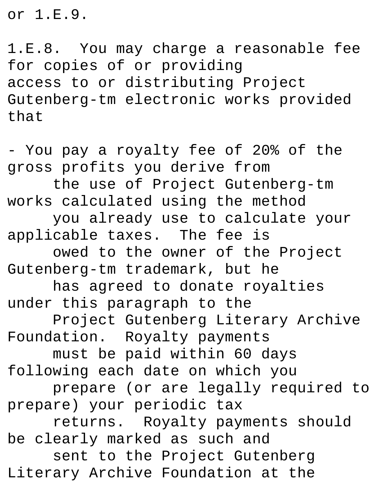or 1.E.9.

1.E.8. You may charge a reasonable fee for copies of or providing access to or distributing Project Gutenberg-tm electronic works provided that

- You pay a royalty fee of 20% of the gross profits you derive from the use of Project Gutenberg-tm works calculated using the method you already use to calculate your applicable taxes. The fee is owed to the owner of the Project Gutenberg-tm trademark, but he has agreed to donate royalties under this paragraph to the Project Gutenberg Literary Archive Foundation. Royalty payments must be paid within 60 days following each date on which you prepare (or are legally required to prepare) your periodic tax returns. Royalty payments should be clearly marked as such and sent to the Project Gutenberg Literary Archive Foundation at the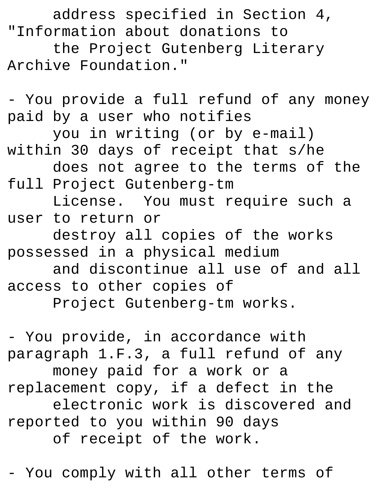address specified in Section 4, "Information about donations to the Project Gutenberg Literary Archive Foundation."

- You provide a full refund of any money paid by a user who notifies you in writing (or by e-mail) within 30 days of receipt that s/he does not agree to the terms of the full Project Gutenberg-tm License. You must require such a user to return or destroy all copies of the works possessed in a physical medium and discontinue all use of and all access to other copies of Project Gutenberg-tm works.

- You provide, in accordance with paragraph 1.F.3, a full refund of any money paid for a work or a replacement copy, if a defect in the electronic work is discovered and reported to you within 90 days of receipt of the work.

- You comply with all other terms of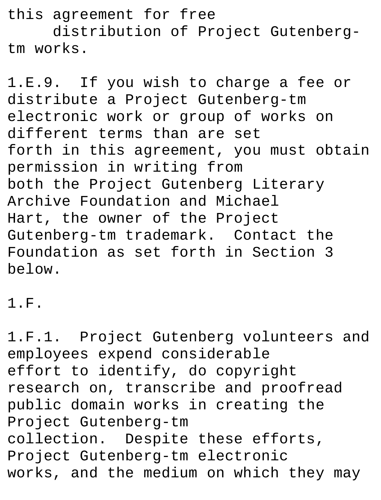this agreement for free distribution of Project Gutenbergtm works.

1.E.9. If you wish to charge a fee or distribute a Project Gutenberg-tm electronic work or group of works on different terms than are set forth in this agreement, you must obtain permission in writing from both the Project Gutenberg Literary Archive Foundation and Michael Hart, the owner of the Project Gutenberg-tm trademark. Contact the Foundation as set forth in Section 3 below.

1.F.

1.F.1. Project Gutenberg volunteers and employees expend considerable effort to identify, do copyright research on, transcribe and proofread public domain works in creating the Project Gutenberg-tm collection. Despite these efforts, Project Gutenberg-tm electronic works, and the medium on which they may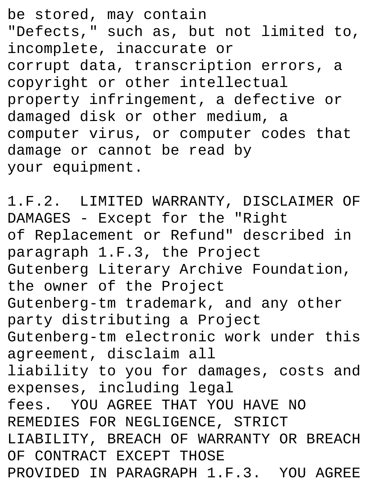be stored, may contain "Defects," such as, but not limited to, incomplete, inaccurate or corrupt data, transcription errors, a copyright or other intellectual property infringement, a defective or damaged disk or other medium, a computer virus, or computer codes that damage or cannot be read by your equipment.

1.F.2. LIMITED WARRANTY, DISCLAIMER OF DAMAGES - Except for the "Right of Replacement or Refund" described in paragraph 1.F.3, the Project Gutenberg Literary Archive Foundation, the owner of the Project Gutenberg-tm trademark, and any other party distributing a Project Gutenberg-tm electronic work under this agreement, disclaim all liability to you for damages, costs and expenses, including legal fees. YOU AGREE THAT YOU HAVE NO REMEDIES FOR NEGLIGENCE, STRICT LIABILITY, BREACH OF WARRANTY OR BREACH OF CONTRACT EXCEPT THOSE PROVIDED IN PARAGRAPH 1.F.3. YOU AGREE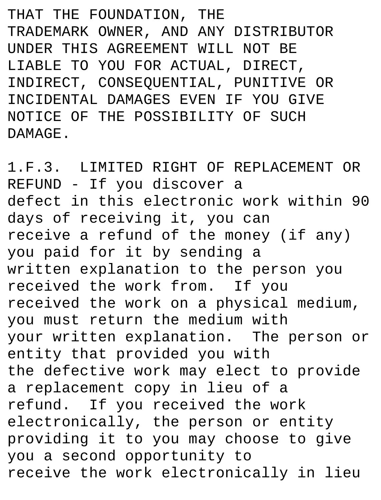THAT THE FOUNDATION, THE TRADEMARK OWNER, AND ANY DISTRIBUTOR UNDER THIS AGREEMENT WILL NOT BE LIABLE TO YOU FOR ACTUAL, DIRECT, INDIRECT, CONSEQUENTIAL, PUNITIVE OR INCIDENTAL DAMAGES EVEN IF YOU GIVE NOTICE OF THE POSSIBILITY OF SUCH DAMAGE.

1.F.3. LIMITED RIGHT OF REPLACEMENT OR REFUND - If you discover a defect in this electronic work within 90 days of receiving it, you can receive a refund of the money (if any) you paid for it by sending a written explanation to the person you received the work from. If you received the work on a physical medium, you must return the medium with your written explanation. The person or entity that provided you with the defective work may elect to provide a replacement copy in lieu of a refund. If you received the work electronically, the person or entity providing it to you may choose to give you a second opportunity to receive the work electronically in lieu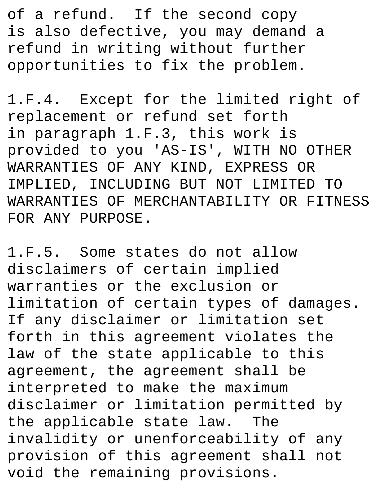of a refund. If the second copy is also defective, you may demand a refund in writing without further opportunities to fix the problem.

1.F.4. Except for the limited right of replacement or refund set forth in paragraph 1.F.3, this work is provided to you 'AS-IS', WITH NO OTHER WARRANTIES OF ANY KIND, EXPRESS OR IMPLIED, INCLUDING BUT NOT LIMITED TO WARRANTIES OF MERCHANTABILITY OR FITNESS FOR ANY PURPOSE.

1.F.5. Some states do not allow disclaimers of certain implied warranties or the exclusion or limitation of certain types of damages. If any disclaimer or limitation set forth in this agreement violates the law of the state applicable to this agreement, the agreement shall be interpreted to make the maximum disclaimer or limitation permitted by the applicable state law. The invalidity or unenforceability of any provision of this agreement shall not void the remaining provisions.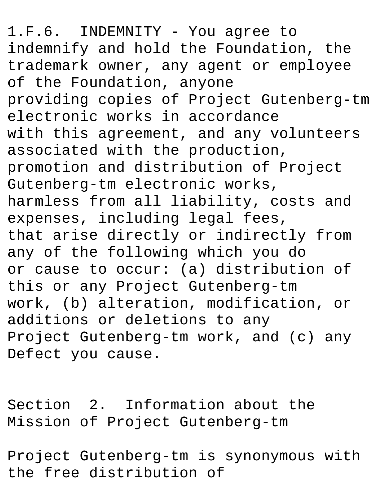1.F.6. INDEMNITY - You agree to indemnify and hold the Foundation, the trademark owner, any agent or employee of the Foundation, anyone providing copies of Project Gutenberg-tm electronic works in accordance with this agreement, and any volunteers associated with the production, promotion and distribution of Project Gutenberg-tm electronic works, harmless from all liability, costs and expenses, including legal fees, that arise directly or indirectly from any of the following which you do or cause to occur: (a) distribution of this or any Project Gutenberg-tm work, (b) alteration, modification, or additions or deletions to any Project Gutenberg-tm work, and (c) any Defect you cause.

Section 2. Information about the Mission of Project Gutenberg-tm

Project Gutenberg-tm is synonymous with the free distribution of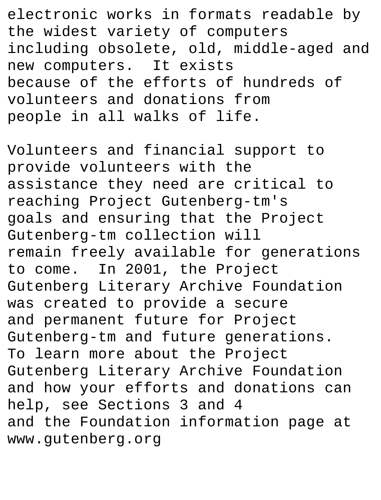electronic works in formats readable by the widest variety of computers including obsolete, old, middle-aged and new computers. It exists because of the efforts of hundreds of volunteers and donations from people in all walks of life.

Volunteers and financial support to provide volunteers with the assistance they need are critical to reaching Project Gutenberg-tm's goals and ensuring that the Project Gutenberg-tm collection will remain freely available for generations to come. In 2001, the Project Gutenberg Literary Archive Foundation was created to provide a secure and permanent future for Project Gutenberg-tm and future generations. To learn more about the Project Gutenberg Literary Archive Foundation and how your efforts and donations can help, see Sections 3 and 4 and the Foundation information page at www.gutenberg.org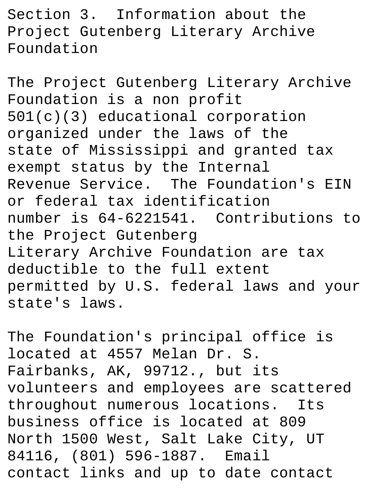Section 3. Information about the Project Gutenberg Literary Archive Foundation

The Project Gutenberg Literary Archive Foundation is a non profit 501(c)(3) educational corporation organized under the laws of the state of Mississippi and granted tax exempt status by the Internal Revenue Service. The Foundation's EIN or federal tax identification number is 64-6221541. Contributions to the Project Gutenberg Literary Archive Foundation are tax deductible to the full extent permitted by U.S. federal laws and your state's laws.

The Foundation's principal office is located at 4557 Melan Dr. S. Fairbanks, AK, 99712., but its volunteers and employees are scattered throughout numerous locations. Its business office is located at 809 North 1500 West, Salt Lake City, UT 84116, (801) 596-1887. Email contact links and up to date contact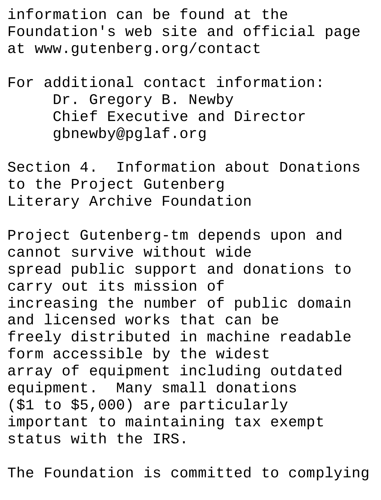information can be found at the Foundation's web site and official page at www.gutenberg.org/contact

## For additional contact information: Dr. Gregory B. Newby Chief Executive and Director gbnewby@pglaf.org

Section 4. Information about Donations to the Project Gutenberg Literary Archive Foundation

Project Gutenberg-tm depends upon and cannot survive without wide spread public support and donations to carry out its mission of increasing the number of public domain and licensed works that can be freely distributed in machine readable form accessible by the widest array of equipment including outdated equipment. Many small donations (\$1 to \$5,000) are particularly important to maintaining tax exempt status with the IRS.

The Foundation is committed to complying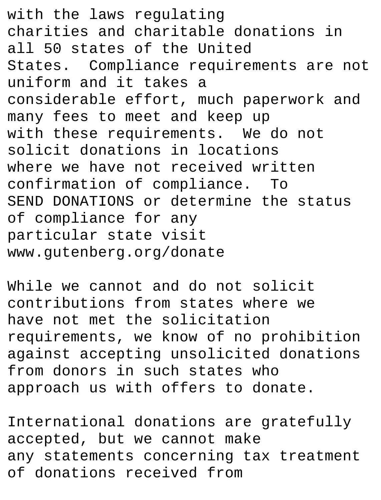with the laws regulating charities and charitable donations in all 50 states of the United States. Compliance requirements are not uniform and it takes a considerable effort, much paperwork and many fees to meet and keep up with these requirements. We do not solicit donations in locations where we have not received written confirmation of compliance. To SEND DONATIONS or determine the status of compliance for any particular state visit www.gutenberg.org/donate

While we cannot and do not solicit contributions from states where we have not met the solicitation requirements, we know of no prohibition against accepting unsolicited donations from donors in such states who approach us with offers to donate.

International donations are gratefully accepted, but we cannot make any statements concerning tax treatment of donations received from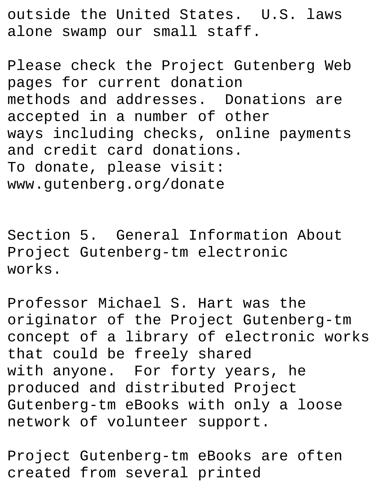outside the United States. U.S. laws alone swamp our small staff.

Please check the Project Gutenberg Web pages for current donation methods and addresses. Donations are accepted in a number of other ways including checks, online payments and credit card donations. To donate, please visit: www.gutenberg.org/donate

Section 5. General Information About Project Gutenberg-tm electronic works.

Professor Michael S. Hart was the originator of the Project Gutenberg-tm concept of a library of electronic works that could be freely shared with anyone. For forty years, he produced and distributed Project Gutenberg-tm eBooks with only a loose network of volunteer support.

Project Gutenberg-tm eBooks are often created from several printed